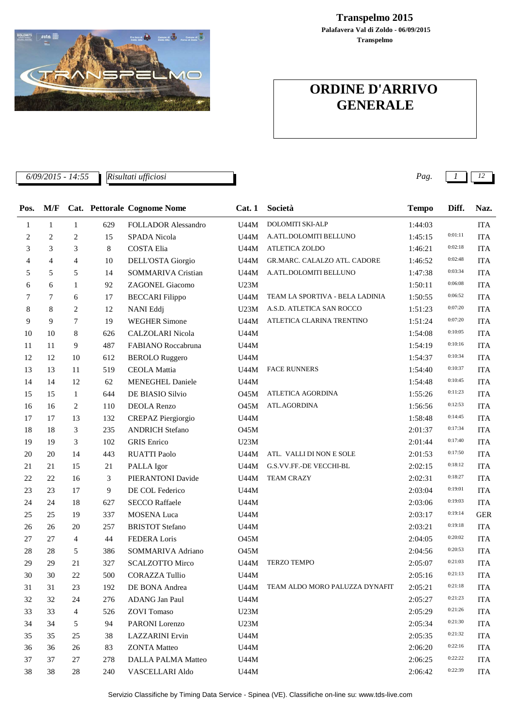

## **Transpelmo Palafavera Val di Zoldo - 06/09/2015 Transpelmo 2015**

## **ORDINE D'ARRIVO GENERALE**

*Risultati ufficiosi*

*6/09/2015 - 14:55 Pag. 1 12*

| Pos.         | M/F            |                |     | Cat. Pettorale Cognome Nome | Cat.1       | Società                             | <b>Tempo</b> | Diff.   | Naz.       |
|--------------|----------------|----------------|-----|-----------------------------|-------------|-------------------------------------|--------------|---------|------------|
| $\mathbf{1}$ | $\mathbf{1}$   | $\mathbf{1}$   | 629 | <b>FOLLADOR Alessandro</b>  | U44M        | DOLOMITI SKI-ALP                    | 1:44:03      |         | <b>ITA</b> |
| 2            | $\overline{c}$ | $\overline{c}$ | 15  | SPADA Nicola                | U44M        | A.ATL.DOLOMITI BELLUNO              | 1:45:15      | 0:01:11 | <b>ITA</b> |
| 3            | 3              | 3              | 8   | <b>COSTA Elia</b>           | U44M        | <b>ATLETICA ZOLDO</b>               | 1:46:21      | 0:02:18 | <b>ITA</b> |
| 4            | $\overline{4}$ | $\overline{4}$ | 10  | DELL'OSTA Giorgio           | U44M        | GR.MARC. CALALZO ATL. CADORE        | 1:46:52      | 0:02:48 | <b>ITA</b> |
| 5            | 5              | 5              | 14  | <b>SOMMARIVA Cristian</b>   | U44M        | A.ATL.DOLOMITI BELLUNO              | 1:47:38      | 0:03:34 | <b>ITA</b> |
| 6            | 6              | $\mathbf{1}$   | 92  | ZAGONEL Giacomo             | U23M        |                                     | 1:50:11      | 0:06:08 | <b>ITA</b> |
| 7            | $\tau$         | 6              | 17  | <b>BECCARI</b> Filippo      | U44M        | TEAM LA SPORTIVA - BELA LADINIA     | 1:50:55      | 0:06:52 | <b>ITA</b> |
| 8            | 8              | 2              | 12  | NANI Eddj                   | U23M        | A.S.D. ATLETICA SAN ROCCO           | 1:51:23      | 0:07:20 | <b>ITA</b> |
| 9            | 9              | $\overline{7}$ | 19  | <b>WEGHER Simone</b>        | U44M        | ATLETICA CLARINA TRENTINO           | 1:51:24      | 0:07:20 | <b>ITA</b> |
| 10           | 10             | 8              | 626 | CALZOLARI Nicola            | U44M        |                                     | 1:54:08      | 0:10:05 | <b>ITA</b> |
| 11           | 11             | 9              | 487 | FABIANO Roccabruna          | U44M        |                                     | 1:54:19      | 0:10:16 | <b>ITA</b> |
| 12           | 12             | 10             | 612 | <b>BEROLO</b> Ruggero       | U44M        |                                     | 1:54:37      | 0:10:34 | <b>ITA</b> |
| 13           | 13             | 11             | 519 | <b>CEOLA</b> Mattia         | U44M        | <b>FACE RUNNERS</b>                 | 1:54:40      | 0:10:37 | <b>ITA</b> |
| 14           | 14             | 12             | 62  | <b>MENEGHEL Daniele</b>     | U44M        |                                     | 1:54:48      | 0:10:45 | <b>ITA</b> |
| 15           | 15             | $\mathbf{1}$   | 644 | DE BIASIO Silvio            | <b>O45M</b> | ATLETICA AGORDINA                   | 1:55:26      | 0:11:23 | <b>ITA</b> |
| 16           | 16             | $\overline{c}$ | 110 | DEOLA Renzo                 | <b>O45M</b> | ATL.AGORDINA                        | 1:56:56      | 0:12:53 | <b>ITA</b> |
| 17           | 17             | 13             | 132 | <b>CREPAZ Piergiorgio</b>   | U44M        |                                     | 1:58:48      | 0:14:45 | <b>ITA</b> |
| 18           | 18             | 3              | 235 | <b>ANDRICH Stefano</b>      | O45M        |                                     | 2:01:37      | 0:17:34 | <b>ITA</b> |
| 19           | 19             | 3              | 102 | <b>GRIS</b> Enrico          | U23M        |                                     | 2:01:44      | 0:17:40 | <b>ITA</b> |
| 20           | 20             | 14             | 443 | <b>RUATTI Paolo</b>         | <b>U44M</b> | ATL. VALLI DI NON E SOLE            | 2:01:53      | 0:17:50 | <b>ITA</b> |
| 21           | 21             | 15             | 21  | PALLA Igor                  | U44M        | G.S.VV.FF.-DE VECCHI-BL             | 2:02:15      | 0:18:12 | <b>ITA</b> |
| 22           | 22             | 16             | 3   | PIERANTONI Davide           | U44M        | <b>TEAM CRAZY</b>                   | 2:02:31      | 0:18:27 | <b>ITA</b> |
| 23           | 23             | 17             | 9   | DE COL Federico             | U44M        |                                     | 2:03:04      | 0:19:01 | <b>ITA</b> |
| 24           | 24             | 18             | 627 | <b>SECCO Raffaele</b>       | U44M        |                                     | 2:03:06      | 0:19:03 | <b>ITA</b> |
| 25           | 25             | 19             | 337 | <b>MOSENA Luca</b>          | U44M        |                                     | 2:03:17      | 0:19:14 | <b>GER</b> |
| 26           | 26             | 20             | 257 | <b>BRISTOT Stefano</b>      | U44M        |                                     | 2:03:21      | 0:19:18 | <b>ITA</b> |
| 27           | 27             | 4              | 44  | FEDERA Loris                | <b>O45M</b> |                                     | 2:04:05      | 0:20:02 | <b>ITA</b> |
| 28           | 28             | 5              | 386 | SOMMARIVA Adriano           | <b>O45M</b> |                                     | 2:04:56      | 0:20:53 | <b>ITA</b> |
| 29           | 29             | 21             | 327 | <b>SCALZOTTO Mirco</b>      | U44M        | <b>TERZO TEMPO</b>                  | 2:05:07      | 0:21:03 | <b>ITA</b> |
| 30           | 30             | 22             | 500 | <b>CORAZZA Tullio</b>       | <b>U44M</b> |                                     | 2:05:16      | 0:21:13 | <b>ITA</b> |
| 31           | 31             | $23\,$         | 192 | DE BONA Andrea              |             | U44M TEAM ALDO MORO PALUZZA DYNAFIT | 2:05:21      | 0:21:18 | <b>ITA</b> |
| 32           | 32             | 24             | 276 | ADANG Jan Paul              | U44M        |                                     | 2:05:27      | 0:21:23 | <b>ITA</b> |
| 33           | 33             | 4              | 526 | <b>ZOVI</b> Tomaso          | U23M        |                                     | 2:05:29      | 0:21:26 | <b>ITA</b> |
| 34           | 34             | 5              | 94  | PARONI Lorenzo              | U23M        |                                     | 2:05:34      | 0:21:30 | <b>ITA</b> |
| 35           | 35             | 25             | 38  | <b>LAZZARINI</b> Ervin      | U44M        |                                     | 2:05:35      | 0:21:32 | <b>ITA</b> |
| 36           | 36             | 26             | 83  | <b>ZONTA</b> Matteo         | U44M        |                                     | 2:06:20      | 0:22:16 | <b>ITA</b> |
| 37           | 37             | 27             | 278 | <b>DALLA PALMA Matteo</b>   | U44M        |                                     | 2:06:25      | 0:22:22 | <b>ITA</b> |
| 38           | 38             | 28             | 240 | VASCELLARI Aldo             | U44M        |                                     | 2:06:42      | 0:22:39 | <b>ITA</b> |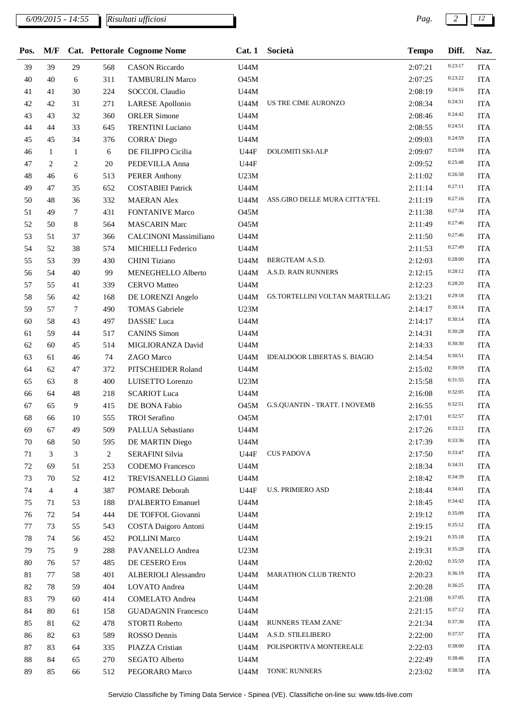*6/09/2015 - 14:55 Pag. 2 12 Risultati ufficiosi*

| Pos.   | M/F            |              |                | Cat. Pettorale Cognome Nome   | Cat.1       | Società                              | <b>Tempo</b> | Diff.   | Naz.       |
|--------|----------------|--------------|----------------|-------------------------------|-------------|--------------------------------------|--------------|---------|------------|
| 39     | 39             | 29           | 568            | <b>CASON Riccardo</b>         | U44M        |                                      | 2:07:21      | 0:23:17 | <b>ITA</b> |
| 40     | 40             | 6            | 311            | <b>TAMBURLIN Marco</b>        | <b>O45M</b> |                                      | 2:07:25      | 0:23:22 | <b>ITA</b> |
| 41     | 41             | 30           | 224            | SOCCOL Claudio                | U44M        |                                      | 2:08:19      | 0:24:16 | <b>ITA</b> |
| 42     | 42             | 31           | 271            | <b>LARESE</b> Apollonio       | U44M        | US TRE CIME AURONZO                  | 2:08:34      | 0:24:31 | <b>ITA</b> |
| 43     | 43             | 32           | 360            | <b>ORLER Simone</b>           | U44M        |                                      | 2:08:46      | 0:24:42 | <b>ITA</b> |
| 44     | 44             | 33           | 645            | <b>TRENTINI</b> Luciano       | U44M        |                                      | 2:08:55      | 0:24:51 | <b>ITA</b> |
| 45     | 45             | 34           | 376            | <b>CORRA' Diego</b>           | U44M        |                                      | 2:09:03      | 0:24:59 | <b>ITA</b> |
| 46     | 1              | $\mathbf{1}$ | 6              | DE FILIPPO Cicilia            | <b>U44F</b> | DOLOMITI SKI-ALP                     | 2:09:07      | 0:25:04 | <b>ITA</b> |
| 47     | 2              | 2            | $20\,$         | PEDEVILLA Anna                | <b>U44F</b> |                                      | 2:09:52      | 0:25:48 | <b>ITA</b> |
| 48     | 46             | 6            | 513            | <b>PERER Anthony</b>          | U23M        |                                      | 2:11:02      | 0:26:58 | <b>ITA</b> |
| 49     | 47             | 35           | 652            | <b>COSTABIEI Patrick</b>      | U44M        |                                      | 2:11:14      | 0:27:11 | <b>ITA</b> |
| 50     | 48             | 36           | 332            | <b>MAERAN</b> Alex            | U44M        | ASS.GIRO DELLE MURA CITTA"FEL        | 2:11:19      | 0:27:16 | <b>ITA</b> |
| 51     | 49             | 7            | 431            | <b>FONTANIVE Marco</b>        | <b>O45M</b> |                                      | 2:11:38      | 0:27:34 | <b>ITA</b> |
| 52     | 50             | 8            | 564            | <b>MASCARIN Marc</b>          | <b>O45M</b> |                                      | 2:11:49      | 0:27:46 | <b>ITA</b> |
| 53     | 51             | 37           | 366            | <b>CALCINONI Massimiliano</b> | U44M        |                                      | 2:11:50      | 0:27:46 | <b>ITA</b> |
| 54     | 52             | 38           | 574            | MICHIELLI Federico            | U44M        |                                      | 2:11:53      | 0:27:49 | <b>ITA</b> |
| 55     | 53             | 39           | 430            | CHINI Tiziano                 | U44M        | BERGTEAM A.S.D.                      | 2:12:03      | 0:28:00 | <b>ITA</b> |
| 56     | 54             | 40           | 99             | MENEGHELLO Alberto            | <b>U44M</b> | A.S.D. RAIN RUNNERS                  | 2:12:15      | 0:28:12 | <b>ITA</b> |
| 57     | 55             | 41           | 339            | <b>CERVO</b> Matteo           | U44M        |                                      | 2:12:23      | 0:28:20 | <b>ITA</b> |
| 58     | 56             | 42           | 168            | DE LORENZI Angelo             | U44M        | GS.TORTELLINI VOLTAN MARTELLAG       | 2:13:21      | 0:29:18 | <b>ITA</b> |
| 59     | 57             | 7            | 490            | <b>TOMAS</b> Gabriele         | U23M        |                                      | 2:14:17      | 0:30:14 | <b>ITA</b> |
| 60     | 58             | 43           | 497            | DASSIE' Luca                  | U44M        |                                      | 2:14:17      | 0:30:14 | <b>ITA</b> |
| 61     | 59             | 44           | 517            | <b>CANINS</b> Simon           | U44M        |                                      | 2:14:31      | 0:30:28 | <b>ITA</b> |
| 62     | 60             | 45           | 514            | MIGLIORANZA David             | U44M        |                                      | 2:14:33      | 0:30:30 | <b>ITA</b> |
| 63     | 61             | 46           | 74             | ZAGO Marco                    | U44M        | <b>IDEALDOOR LIBERTAS S. BIAGIO</b>  | 2:14:54      | 0:30:51 | <b>ITA</b> |
| 64     | 62             | 47           | 372            | PITSCHEIDER Roland            | U44M        |                                      | 2:15:02      | 0:30:59 | <b>ITA</b> |
| 65     | 63             | 8            | 400            | LUISETTO Lorenzo              | U23M        |                                      | 2:15:58      | 0:31:55 | <b>ITA</b> |
| 66     | 64             | 48           | 218            | <b>SCARIOT Luca</b>           | <b>U44M</b> |                                      | 2:16:08      | 0:32:05 | <b>ITA</b> |
| 67     | 65             | 9            | 415            | DE BONA Fabio                 | O45M        | <b>G.S.QUANTIN - TRATT. I NOVEMB</b> | 2:16:55      | 0:32:51 | <b>ITA</b> |
| 68     | 66             | 10           | 555            | TROI Serafino                 | <b>O45M</b> |                                      | 2:17:01      | 0:32:57 | <b>ITA</b> |
| 69     | 67             | 49           | 509            | PALLUA Sebastiano             | U44M        |                                      | 2:17:26      | 0:33:22 | <b>ITA</b> |
| 70     | 68             | 50           | 595            | DE MARTIN Diego               | U44M        |                                      | 2:17:39      | 0:33:36 | <b>ITA</b> |
| 71     | 3              | 3            | $\overline{c}$ | <b>SERAFINI Silvia</b>        | <b>U44F</b> | <b>CUS PADOVA</b>                    | 2:17:50      | 0:33:47 | <b>ITA</b> |
| $72\,$ | 69             | 51           | 253            | <b>CODEMO</b> Francesco       | <b>U44M</b> |                                      | 2:18:34      | 0:34:31 | <b>ITA</b> |
| 73     | 70             | 52           | 412            | TREVISANELLO Gianni           | U44M        |                                      | 2:18:42      | 0:34:39 | <b>ITA</b> |
| 74     | $\overline{4}$ | 4            | 387            | POMARE Deborah                | <b>U44F</b> | <b>U.S. PRIMIERO ASD</b>             | 2:18:44      | 0:34:41 | <b>ITA</b> |
| 75     | 71             | 53           | 188            | D'ALBERTO Emanuel             | U44M        |                                      | 2:18:45      | 0:34:42 | <b>ITA</b> |
| 76     | 72             | 54           | 444            | DE TOFFOL Giovanni            | U44M        |                                      | 2:19:12      | 0:35:09 | <b>ITA</b> |
| 77     | 73             | 55           | 543            | COSTA Daigoro Antoni          | U44M        |                                      | 2:19:15      | 0:35:12 | <b>ITA</b> |
| $78\,$ | 74             | 56           | 452            | <b>POLLINI Marco</b>          | U44M        |                                      | 2:19:21      | 0:35:18 | <b>ITA</b> |
| 79     | 75             | 9            | 288            | PAVANELLO Andrea              | U23M        |                                      | 2:19:31      | 0:35:28 | <b>ITA</b> |
| 80     | 76             | 57           | 485            | DE CESERO Eros                | U44M        |                                      | 2:20:02      | 0:35:59 | <b>ITA</b> |
| 81     | 77             | 58           | 401            | ALBERIOLI Alessandro          | U44M        | MARATHON CLUB TRENTO                 | 2:20:23      | 0:36:19 | <b>ITA</b> |
| 82     | 78             | 59           | 404            | LOVATO Andrea                 | U44M        |                                      | 2:20:28      | 0:36:25 | <b>ITA</b> |
| 83     | 79             | 60           | 414            | <b>COMELATO Andrea</b>        | U44M        |                                      | 2:21:08      | 0:37:05 | <b>ITA</b> |
| 84     | 80             | 61           | 158            | <b>GUADAGNIN Francesco</b>    | U44M        |                                      | 2:21:15      | 0:37:12 | <b>ITA</b> |
| 85     | 81             | 62           | 478            | STORTI Roberto                | U44M        | RUNNERS TEAM ZANE'                   | 2:21:34      | 0:37:30 | <b>ITA</b> |
| 86     | 82             | 63           | 589            | ROSSO Dennis                  | U44M        | A.S.D. STILELIBERO                   | 2:22:00      | 0:37:57 | ITA        |
| $87\,$ | 83             | 64           | 335            | PIAZZA Cristian               | U44M        | POLISPORTIVA MONTEREALE              | 2:22:03      | 0:38:00 | <b>ITA</b> |
| $88\,$ | 84             | 65           | 270            | SEGATO Alberto                | U44M        |                                      | 2:22:49      | 0:38:46 | <b>ITA</b> |
| 89     | 85             | 66           | 512            | PEGORARO Marco                | U44M        | TONIC RUNNERS                        | 2:23:02      | 0:38:58 | ITA        |
|        |                |              |                |                               |             |                                      |              |         |            |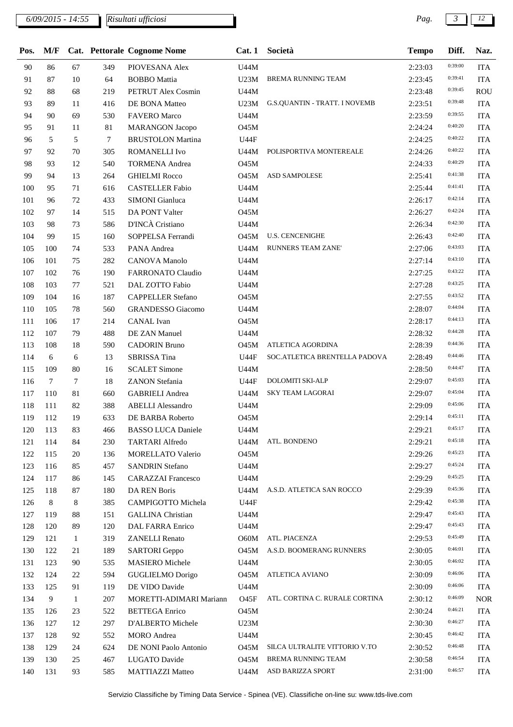*6/09/2015 - 14:55 Pag. 3 12 Risultati ufficiosi*

| Pos. | M/F             |              |        | Cat. Pettorale Cognome Nome | Cat.1               | Società                              | <b>Tempo</b> | Diff.   | Naz.       |
|------|-----------------|--------------|--------|-----------------------------|---------------------|--------------------------------------|--------------|---------|------------|
| 90   | 86              | 67           | 349    | PIOVESANA Alex              | U44M                |                                      | 2:23:03      | 0:39:00 | <b>ITA</b> |
| 91   | 87              | 10           | 64     | <b>BOBBO</b> Mattia         | U23M                | <b>BREMA RUNNING TEAM</b>            | 2:23:45      | 0:39:41 | <b>ITA</b> |
| 92   | 88              | 68           | 219    | <b>PETRUT Alex Cosmin</b>   | U44M                |                                      | 2:23:48      | 0:39:45 | <b>ROU</b> |
| 93   | 89              | 11           | 416    | DE BONA Matteo              | U23M                | <b>G.S.QUANTIN - TRATT. I NOVEMB</b> | 2:23:51      | 0:39:48 | <b>ITA</b> |
| 94   | 90              | 69           | 530    | <b>FAVERO</b> Marco         | U44M                |                                      | 2:23:59      | 0:39:55 | <b>ITA</b> |
| 95   | 91              | 11           | 81     | <b>MARANGON Jacopo</b>      | <b>O45M</b>         |                                      | 2:24:24      | 0:40:20 | <b>ITA</b> |
| 96   | 5               | 5            | $\tau$ | <b>BRUSTOLON Martina</b>    | U44F                |                                      | 2:24:25      | 0:40:22 | <b>ITA</b> |
| 97   | 92              | 70           | 305    | ROMANELLI Ivo               | U44M                | POLISPORTIVA MONTEREALE              | 2:24:26      | 0:40:22 | <b>ITA</b> |
| 98   | 93              | 12           | 540    | <b>TORMENA</b> Andrea       | <b>O45M</b>         |                                      | 2:24:33      | 0:40:29 | <b>ITA</b> |
| 99   | 94              | 13           | 264    | <b>GHIELMI Rocco</b>        | O45M                | <b>ASD SAMPOLESE</b>                 | 2:25:41      | 0:41:38 | <b>ITA</b> |
| 100  | 95              | 71           | 616    | <b>CASTELLER Fabio</b>      | U44M                |                                      | 2:25:44      | 0:41:41 | <b>ITA</b> |
| 101  | 96              | 72           | 433    | SIMONI Gianluca             | U44M                |                                      | 2:26:17      | 0:42:14 | <b>ITA</b> |
| 102  | 97              | 14           | 515    | DA PONT Valter              | <b>O45M</b>         |                                      | 2:26:27      | 0:42:24 | <b>ITA</b> |
| 103  | 98              | 73           | 586    | D'INCÀ Cristiano            | U44M                |                                      | 2:26:34      | 0:42:30 | <b>ITA</b> |
| 104  | 99              | 15           | 160    | SOPPELSA Ferrandi           | <b>O45M</b>         | <b>U.S. CENCENIGHE</b>               | 2:26:43      | 0:42:40 | <b>ITA</b> |
| 105  | 100             | 74           | 533    | PANA Andrea                 | U44M                | <b>RUNNERS TEAM ZANE'</b>            | 2:27:06      | 0:43:03 | <b>ITA</b> |
| 106  | 101             | 75           | 282    | <b>CANOVA</b> Manolo        | U44M                |                                      | 2:27:14      | 0:43:10 | <b>ITA</b> |
| 107  | 102             | 76           | 190    | FARRONATO Claudio           | U44M                |                                      | 2:27:25      | 0:43:22 | <b>ITA</b> |
| 108  | 103             | 77           | 521    | DAL ZOTTO Fabio             | U44M                |                                      | 2:27:28      | 0:43:25 | <b>ITA</b> |
| 109  | 104             | 16           | 187    | <b>CAPPELLER Stefano</b>    | <b>O45M</b>         |                                      | 2:27:55      | 0:43:52 | <b>ITA</b> |
| 110  | 105             | 78           | 560    | <b>GRANDESSO</b> Giacomo    | U44M                |                                      | 2:28:07      | 0:44:04 | <b>ITA</b> |
| 111  | 106             | 17           | 214    | CANAL Ivan                  | <b>O45M</b>         |                                      | 2:28:17      | 0:44:13 | <b>ITA</b> |
| 112  | 107             | 79           | 488    | DE ZAN Manuel               | U44M                |                                      | 2:28:32      | 0:44:28 | <b>ITA</b> |
| 113  | 108             | 18           | 590    | <b>CADORIN Bruno</b>        | <b>O45M</b>         | ATLETICA AGORDINA                    | 2:28:39      | 0:44:36 | <b>ITA</b> |
| 114  | 6               | 6            | 13     | SBRISSA Tina                | U44F                | SOC.ATLETICA BRENTELLA PADOVA        | 2:28:49      | 0:44:46 | <b>ITA</b> |
| 115  | 109             | 80           | 16     | <b>SCALET Simone</b>        | U44M                |                                      | 2:28:50      | 0:44:47 | <b>ITA</b> |
| 116  | $7\phantom{.0}$ | $\tau$       | 18     | <b>ZANON</b> Stefania       | <b>U44F</b>         | DOLOMITI SKI-ALP                     | 2:29:07      | 0:45:03 | <b>ITA</b> |
| 117  | 110             | 81           | 660    | <b>GABRIELI</b> Andrea      | U44M                | <b>SKY TEAM LAGORAI</b>              | 2:29:07      | 0:45:04 | <b>ITA</b> |
| 118  | 111             | 82           | 388    | <b>ABELLI</b> Alessandro    | U44M                |                                      | 2:29:09      | 0:45:06 | <b>ITA</b> |
| 119  | 112             | 19           | 633    | DE BARBA Roberto            | <b>O45M</b>         |                                      | 2:29:14      | 0:45:11 | <b>ITA</b> |
| 120  | 113             | 83           | 466    | <b>BASSO LUCA Daniele</b>   | U44M                |                                      | 2:29:21      | 0:45:17 | <b>ITA</b> |
|      |                 |              |        |                             |                     | ATL. BONDENO                         |              | 0:45:18 |            |
| 121  | 114             | 84           | 230    | <b>TARTARI</b> Alfredo      | U44M<br><b>O45M</b> |                                      | 2:29:21      | 0:45:23 | <b>ITA</b> |
| 122  | 115<br>116      | 20           | 136    | MORELLATO Valerio           |                     |                                      | 2:29:26      | 0:45:24 | <b>ITA</b> |
| 123  |                 | 85           | 457    | <b>SANDRIN Stefano</b>      | U44M                |                                      | 2:29:27      | 0:45:25 | <b>ITA</b> |
| 124  | 117             | 86           | 145    | <b>CARAZZAI</b> Francesco   | U44M                | A.S.D. ATLETICA SAN ROCCO            | 2:29:29      | 0:45:36 | <b>ITA</b> |
| 125  | 118             | 87           | 180    | DA REN Boris                | U44M                |                                      | 2:29:39      | 0:45:38 | <b>ITA</b> |
| 126  | 8               | 8            | 385    | CAMPIGOTTO Michela          | <b>U44F</b>         |                                      | 2:29:42      | 0:45:43 | <b>ITA</b> |
| 127  | 119             | 88           | 151    | <b>GALLINA</b> Christian    | U44M                |                                      | 2:29:47      | 0:45:43 | <b>ITA</b> |
| 128  | 120             | 89           | 120    | DAL FARRA Enrico            | U44M                |                                      | 2:29:47      |         | <b>ITA</b> |
| 129  | 121             | $\mathbf{1}$ | 319    | <b>ZANELLI</b> Renato       | O60M                | ATL. PIACENZA                        | 2:29:53      | 0:45:49 | <b>ITA</b> |
| 130  | 122             | 21           | 189    | <b>SARTORI</b> Geppo        | <b>O45M</b>         | A.S.D. BOOMERANG RUNNERS             | 2:30:05      | 0:46:01 | <b>ITA</b> |
| 131  | 123             | 90           | 535    | MASIERO Michele             | U44M                |                                      | 2:30:05      | 0:46:02 | <b>ITA</b> |
| 132  | 124             | 22           | 594    | GUGLIELMO Dorigo            | <b>O45M</b>         | ATLETICA AVIANO                      | 2:30:09      | 0:46:06 | <b>ITA</b> |
| 133  | 125             | 91           | 119    | DE VIDO Davide              | U44M                |                                      | 2:30:09      | 0:46:06 | <b>ITA</b> |
| 134  | 9               | $\mathbf{1}$ | 207    | MORETTI-ADIMARI Mariann     | O45F                | ATL. CORTINA C. RURALE CORTINA       | 2:30:12      | 0:46:09 | <b>NOR</b> |
| 135  | 126             | 23           | 522    | <b>BETTEGA</b> Enrico       | <b>O45M</b>         |                                      | 2:30:24      | 0:46:21 | <b>ITA</b> |
| 136  | 127             | 12           | 297    | D'ALBERTO Michele           | U23M                |                                      | 2:30:30      | 0:46:27 | <b>ITA</b> |
| 137  | 128             | 92           | 552    | <b>MORO</b> Andrea          | U44M                |                                      | 2:30:45      | 0:46:42 | <b>ITA</b> |
| 138  | 129             | 24           | 624    | DE NONI Paolo Antonio       | 045M                | SILCA ULTRALITE VITTORIO V.TO        | 2:30:52      | 0:46:48 | <b>ITA</b> |
| 139  | 130             | 25           | 467    | LUGATO Davide               | O45M                | BREMA RUNNING TEAM                   | 2:30:58      | 0:46:54 | <b>ITA</b> |
| 140  | 131             | 93           | 585    | <b>MATTIAZZI Matteo</b>     | U44M                | ASD BARIZZA SPORT                    | 2:31:00      | 0:46:57 | <b>ITA</b> |

Servizio Classifiche by Timing Data Service - Spinea (VE). Classifiche on-line su: www.tds-live.com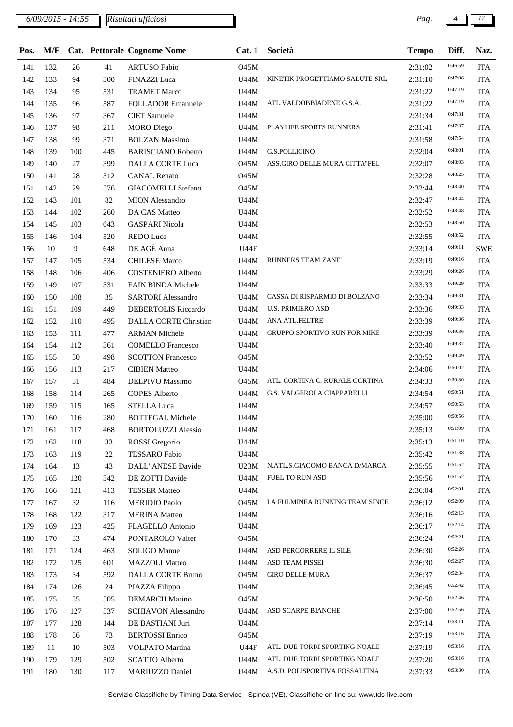*6/09/2015 - 14:55 Pag. 4 12 Risultati ufficiosi*

| Pos.       | M/F |     |     | Cat. Pettorale Cognome Nome | Cat.1       | Società                                    | <b>Tempo</b> | Diff.   | Naz.       |
|------------|-----|-----|-----|-----------------------------|-------------|--------------------------------------------|--------------|---------|------------|
| 141        | 132 | 26  | 41  | <b>ARTUSO Fabio</b>         | <b>O45M</b> |                                            | 2:31:02      | 0:46:59 | <b>ITA</b> |
| 142        | 133 | 94  | 300 | <b>FINAZZI</b> Luca         | U44M        | KINETIK PROGETTIAMO SALUTE SRL             | 2:31:10      | 0:47:06 | <b>ITA</b> |
| 143        | 134 | 95  | 531 | <b>TRAMET Marco</b>         | U44M        |                                            | 2:31:22      | 0:47:19 | <b>ITA</b> |
| 144        | 135 | 96  | 587 | <b>FOLLADOR Emanuele</b>    | U44M        | ATL.VALDOBBIADENE G.S.A.                   | 2:31:22      | 0:47:19 | <b>ITA</b> |
| 145        | 136 | 97  | 367 | <b>CIET</b> Samuele         | <b>U44M</b> |                                            | 2:31:34      | 0:47:31 | <b>ITA</b> |
| 146        | 137 | 98  | 211 | <b>MORO</b> Diego           | U44M        | PLAYLIFE SPORTS RUNNERS                    | 2:31:41      | 0:47:37 | <b>ITA</b> |
| 147        | 138 | 99  | 371 | <b>BOLZAN Massimo</b>       | U44M        |                                            | 2:31:58      | 0:47:54 | <b>ITA</b> |
| 148        | 139 | 100 | 445 | <b>BARISCIANO Roberto</b>   | U44M        | <b>G.S.POLLICINO</b>                       | 2:32:04      | 0:48:01 | <b>ITA</b> |
| 149        | 140 | 27  | 399 | <b>DALLA CORTE Luca</b>     | O45M        | ASS.GIRO DELLE MURA CITTA"FEL              | 2:32:07      | 0:48:03 | <b>ITA</b> |
| 150        | 141 | 28  | 312 | <b>CANAL Renato</b>         | <b>O45M</b> |                                            | 2:32:28      | 0:48:25 | <b>ITA</b> |
| 151        | 142 | 29  | 576 | <b>GIACOMELLI Stefano</b>   | <b>O45M</b> |                                            | 2:32:44      | 0:48:40 | <b>ITA</b> |
| 152        | 143 | 101 | 82  | <b>MION</b> Alessandro      | U44M        |                                            | 2:32:47      | 0:48:44 | <b>ITA</b> |
| 153        | 144 | 102 | 260 | DA CAS Matteo               | U44M        |                                            | 2:32:52      | 0:48:48 | <b>ITA</b> |
| 154        | 145 | 103 | 643 | <b>GASPARI</b> Nicola       | U44M        |                                            | 2:32:53      | 0:48:50 | <b>ITA</b> |
| 155        | 146 | 104 | 520 | REDO Luca                   | U44M        |                                            | 2:32:55      | 0:48:52 | <b>ITA</b> |
| 156        | 10  | 9   | 648 | DE AGÈ Anna                 | U44F        |                                            | 2:33:14      | 0:49:11 | <b>SWE</b> |
| 157        | 147 | 105 | 534 | <b>CHILESE Marco</b>        | U44M        | RUNNERS TEAM ZANE'                         | 2:33:19      | 0:49:16 | <b>ITA</b> |
| 158        | 148 | 106 | 406 | <b>COSTENIERO</b> Alberto   | U44M        |                                            | 2:33:29      | 0:49:26 | <b>ITA</b> |
| 159        | 149 | 107 | 331 | FAIN BINDA Michele          | U44M        |                                            | 2:33:33      | 0:49:29 | <b>ITA</b> |
| 160        | 150 | 108 | 35  | <b>SARTORI</b> Alessandro   | U44M        | CASSA DI RISPARMIO DI BOLZANO              | 2:33:34      | 0:49:31 | <b>ITA</b> |
| 161        | 151 | 109 | 449 | DEBERTOLIS Riccardo         | U44M        | <b>U.S. PRIMIERO ASD</b>                   | 2:33:36      | 0:49:33 | <b>ITA</b> |
| 162        | 152 | 110 | 495 | DALLA CORTE Christian       | U44M        | ANA ATL.FELTRE                             | 2:33:39      | 0:49:36 | <b>ITA</b> |
|            | 153 | 111 |     |                             | U44M        | <b>GRUPPO SPORTIVO RUN FOR MIKE</b>        |              | 0:49:36 | <b>ITA</b> |
| 163<br>164 | 154 | 112 | 477 | <b>ARMAN Michele</b>        |             |                                            | 2:33:39      | 0:49:37 | <b>ITA</b> |
|            |     |     | 361 | <b>COMELLO Francesco</b>    | U44M        |                                            | 2:33:40      | 0:49:49 |            |
| 165        | 155 | 30  | 498 | <b>SCOTTON Francesco</b>    | 045M        |                                            | 2:33:52      | 0:50:02 | <b>ITA</b> |
| 166        | 156 | 113 | 217 | <b>CIBIEN Matteo</b>        | U44M        |                                            | 2:34:06      | 0:50:30 | <b>ITA</b> |
| 167        | 157 | 31  | 484 | DELPIVO Massimo             | <b>O45M</b> | ATL. CORTINA C. RURALE CORTINA             | 2:34:33      | 0:50:51 | <b>ITA</b> |
| 168        | 158 | 114 | 265 | <b>COPES Alberto</b>        |             | U44M G.S. VALGEROLA CIAPPARELLI            | 2:34:54      |         | <b>ITA</b> |
| 169        | 159 | 115 | 165 | <b>STELLA Luca</b>          | U44M        |                                            | 2:34:57      | 0:50:53 | <b>ITA</b> |
| 170        | 160 | 116 | 280 | <b>BOTTEGAL Michele</b>     | U44M        |                                            | 2:35:00      | 0:50:56 | <b>ITA</b> |
| 171        | 161 | 117 | 468 | <b>BORTOLUZZI Alessio</b>   | U44M        |                                            | 2:35:13      | 0:51:09 | <b>ITA</b> |
| 172        | 162 | 118 | 33  | ROSSI Gregorio              | U44M        |                                            | 2:35:13      | 0:51:10 | <b>ITA</b> |
| 173        | 163 | 119 | 22  | <b>TESSARO</b> Fabio        | U44M        |                                            | 2:35:42      | 0:51:38 | <b>ITA</b> |
| 174        | 164 | 13  | 43  | DALL' ANESE Davide          | U23M        | N.ATL.S.GIACOMO BANCA D/MARCA              | 2:35:55      | 0:51:52 | <b>ITA</b> |
| 175        | 165 | 120 | 342 | DE ZOTTI Davide             | U44M        | FUEL TO RUN ASD                            | 2:35:56      | 0:51:52 | <b>ITA</b> |
| 176        | 166 | 121 | 413 | <b>TESSER Matteo</b>        | U44M        |                                            | 2:36:04      | 0:52:01 | <b>ITA</b> |
| 177        | 167 | 32  | 116 | <b>MERIDIO Paolo</b>        |             | <b>O45M LA FULMINEA RUNNING TEAM SINCE</b> | 2:36:12      | 0:52:09 | <b>ITA</b> |
| 178        | 168 | 122 | 317 | <b>MERINA</b> Matteo        | U44M        |                                            | 2:36:16      | 0:52:13 | <b>ITA</b> |
| 179        | 169 | 123 | 425 | FLAGELLO Antonio            | U44M        |                                            | 2:36:17      | 0:52:14 | <b>ITA</b> |
| 180        | 170 | 33  | 474 | PONTAROLO Valter            | <b>O45M</b> |                                            | 2:36:24      | 0:52:21 | <b>ITA</b> |
| 181        | 171 | 124 | 463 | <b>SOLIGO Manuel</b>        | U44M        | ASD PERCORRERE IL SILE                     | 2:36:30      | 0:52:26 | <b>ITA</b> |
| 182        | 172 | 125 | 601 | <b>MAZZOLI</b> Matteo       | U44M        | ASD TEAM PISSEI                            | 2:36:30      | 0:52:27 | <b>ITA</b> |
| 183        | 173 | 34  | 592 | DALLA CORTE Bruno           | <b>O45M</b> | <b>GIRO DELLE MURA</b>                     | 2:36:37      | 0:52:34 | <b>ITA</b> |
| 184        | 174 | 126 | 24  | PIAZZA Filippo              | U44M        |                                            | 2:36:45      | 0:52:42 | <b>ITA</b> |
| 185        | 175 | 35  | 505 | <b>DEMARCH Marino</b>       | <b>O45M</b> |                                            | 2:36:50      | 0:52:46 | <b>ITA</b> |
| 186        | 176 | 127 | 537 | <b>SCHIAVON Alessandro</b>  | U44M        | ASD SCARPE BIANCHE                         | 2:37:00      | 0:52:56 | <b>ITA</b> |
| 187        | 177 | 128 | 144 | DE BASTIANI Juri            | U44M        |                                            | 2:37:14      | 0:53:11 | <b>ITA</b> |
| 188        | 178 | 36  | 73  | <b>BERTOSSI</b> Enrico      | <b>O45M</b> |                                            | 2:37:19      | 0:53:16 | <b>ITA</b> |
| 189        | 11  | 10  | 503 | VOLPATO Martina             | <b>U44F</b> | ATL. DUE TORRI SPORTING NOALE              | 2:37:19      | 0:53:16 | <b>ITA</b> |
| 190        | 179 | 129 | 502 | <b>SCATTO Alberto</b>       | U44M        | ATL. DUE TORRI SPORTING NOALE              | 2:37:20      | 0:53:16 | ITA        |
| 191        | 180 | 130 | 117 | MARIUZZO Daniel             |             | U44M A.S.D. POLISPORTIVA FOSSALTINA        | 2:37:33      | 0:53:30 | <b>ITA</b> |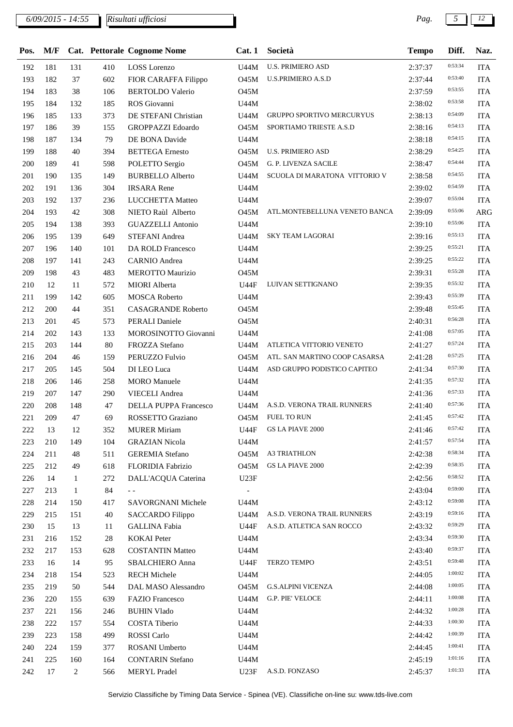| Pos. | M/F |              |        | Cat. Pettorale Cognome Nome | Cat.1       | Società                          | <b>Tempo</b> | Diff.   | Naz.       |
|------|-----|--------------|--------|-----------------------------|-------------|----------------------------------|--------------|---------|------------|
| 192  | 181 | 131          | 410    | <b>LOSS</b> Lorenzo         | U44M        | <b>U.S. PRIMIERO ASD</b>         | 2:37:37      | 0:53:34 | <b>ITA</b> |
| 193  | 182 | 37           | 602    | FIOR CARAFFA Filippo        | <b>O45M</b> | <b>U.S.PRIMIERO A.S.D</b>        | 2:37:44      | 0:53:40 | <b>ITA</b> |
| 194  | 183 | 38           | 106    | <b>BERTOLDO</b> Valerio     | <b>O45M</b> |                                  | 2:37:59      | 0:53:55 | <b>ITA</b> |
| 195  | 184 | 132          | 185    | ROS Giovanni                | U44M        |                                  | 2:38:02      | 0:53:58 | <b>ITA</b> |
| 196  | 185 | 133          | 373    | DE STEFANI Christian        | <b>U44M</b> | <b>GRUPPO SPORTIVO MERCURYUS</b> | 2:38:13      | 0:54:09 | <b>ITA</b> |
| 197  | 186 | 39           | 155    | <b>GROPPAZZI Edoardo</b>    | O45M        | SPORTIAMO TRIESTE A.S.D          | 2:38:16      | 0:54:13 | <b>ITA</b> |
| 198  | 187 | 134          | 79     | DE BONA Davide              | U44M        |                                  | 2:38:18      | 0:54:15 | <b>ITA</b> |
| 199  | 188 | 40           | 394    | <b>BETTEGA</b> Ernesto      | <b>O45M</b> | <b>U.S. PRIMIERO ASD</b>         | 2:38:29      | 0:54:25 | <b>ITA</b> |
| 200  | 189 | 41           | 598    | POLETTO Sergio              | O45M        | G. P. LIVENZA SACILE             | 2:38:47      | 0:54:44 | <b>ITA</b> |
| 201  | 190 | 135          | 149    | <b>BURBELLO Alberto</b>     | U44M        | SCUOLA DI MARATONA VITTORIO V    | 2:38:58      | 0:54:55 | <b>ITA</b> |
| 202  | 191 | 136          | 304    | <b>IRSARA</b> Rene          | U44M        |                                  | 2:39:02      | 0:54:59 | <b>ITA</b> |
| 203  | 192 | 137          | 236    | LUCCHETTA Matteo            | U44M        |                                  | 2:39:07      | 0:55:04 | <b>ITA</b> |
| 204  | 193 | 42           | 308    | NIETO Raùl Alberto          | <b>O45M</b> | ATL.MONTEBELLUNA VENETO BANCA    | 2:39:09      | 0:55:06 | ARG        |
| 205  | 194 | 138          | 393    | <b>GUAZZELLI Antonio</b>    | U44M        |                                  | 2:39:10      | 0:55:06 | <b>ITA</b> |
| 206  | 195 | 139          | 649    | STEFANI Andrea              | U44M        | <b>SKY TEAM LAGORAI</b>          | 2:39:16      | 0:55:13 | <b>ITA</b> |
| 207  | 196 | 140          | 101    | DA ROLD Francesco           | U44M        |                                  | 2:39:25      | 0:55:21 | <b>ITA</b> |
| 208  | 197 | 141          | 243    | <b>CARNIO</b> Andrea        | U44M        |                                  | 2:39:25      | 0:55:22 | <b>ITA</b> |
| 209  | 198 | 43           | 483    | <b>MEROTTO Maurizio</b>     | O45M        |                                  | 2:39:31      | 0:55:28 | <b>ITA</b> |
| 210  | 12  | 11           | 572    | <b>MIORI</b> Alberta        | <b>U44F</b> | LUIVAN SETTIGNANO                | 2:39:35      | 0:55:32 | <b>ITA</b> |
| 211  | 199 | 142          | 605    | <b>MOSCA Roberto</b>        | U44M        |                                  | 2:39:43      | 0:55:39 | <b>ITA</b> |
| 212  | 200 | 44           | 351    | <b>CASAGRANDE Roberto</b>   | O45M        |                                  | 2:39:48      | 0:55:45 | <b>ITA</b> |
| 213  | 201 | 45           | 573    | <b>PERALI Daniele</b>       | <b>O45M</b> |                                  | 2:40:31      | 0:56:28 | <b>ITA</b> |
| 214  | 202 | 143          | 133    | MOROSINOTTO Giovanni        | U44M        |                                  | 2:41:08      | 0:57:05 | <b>ITA</b> |
| 215  | 203 | 144          | 80     | FROZZA Stefano              | U44M        | ATLETICA VITTORIO VENETO         | 2:41:27      | 0:57:24 | <b>ITA</b> |
| 216  | 204 | 46           | 159    | PERUZZO Fulvio              | O45M        | ATL. SAN MARTINO COOP CASARSA    | 2:41:28      | 0:57:25 | <b>ITA</b> |
| 217  | 205 | 145          | 504    | DI LEO Luca                 | U44M        | ASD GRUPPO PODISTICO CAPITEO     | 2:41:34      | 0:57:30 | <b>ITA</b> |
| 218  | 206 | 146          | 258    | <b>MORO</b> Manuele         | U44M        |                                  | 2:41:35      | 0:57:32 | <b>ITA</b> |
| 219  | 207 | 147          | 290    | <b>VIECELI</b> Andrea       | U44M        |                                  | 2:41:36      | 0:57:33 | <b>ITA</b> |
| 220  | 208 | 148          | 47     | DELLA PUPPA Francesco       | U44M        | A.S.D. VERONA TRAIL RUNNERS      | 2:41:40      | 0:57:36 | <b>ITA</b> |
| 221  | 209 | 47           | 69     | ROSSETTO Graziano           | O45M        | <b>FUEL TO RUN</b>               | 2:41:45      | 0:57:42 | <b>ITA</b> |
| 222  | 13  | 12           | 352    | <b>MURER Miriam</b>         | <b>U44F</b> | <b>GS LA PIAVE 2000</b>          | 2:41:46      | 0:57:42 | <b>ITA</b> |
| 223  | 210 | 149          | 104    | <b>GRAZIAN Nicola</b>       | U44M        |                                  | 2:41:57      | 0:57:54 | <b>ITA</b> |
| 224  | 211 | 48           | 511    | <b>GEREMIA</b> Stefano      | O45M        | <b>A3 TRIATHLON</b>              | 2:42:38      | 0:58:34 | <b>ITA</b> |
| 225  | 212 | 49           | 618    | FLORIDIA Fabrizio           | <b>O45M</b> | <b>GS LA PIAVE 2000</b>          | 2:42:39      | 0:58:35 | <b>ITA</b> |
| 226  | 14  | $\mathbf{1}$ | 272    | DALL'ACQUA Caterina         | U23F        |                                  | 2:42:56      | 0:58:52 | <b>ITA</b> |
| 227  | 213 | $\mathbf{1}$ | 84     | $ -$                        |             |                                  | 2:43:04      | 0:59:00 | <b>ITA</b> |
| 228  | 214 | 150          | 417    | SAVORGNANI Michele          | U44M        |                                  | 2:43:12      | 0:59:08 | <b>ITA</b> |
| 229  | 215 | 151          | 40     | <b>SACCARDO Filippo</b>     | U44M        | A.S.D. VERONA TRAIL RUNNERS      | 2:43:19      | 0:59:16 | <b>ITA</b> |
| 230  | 15  | 13           | 11     | <b>GALLINA Fabia</b>        | U44F        | A.S.D. ATLETICA SAN ROCCO        | 2:43:32      | 0:59:29 | <b>ITA</b> |
| 231  | 216 | 152          | $28\,$ | <b>KOKAI</b> Peter          | U44M        |                                  | 2:43:34      | 0:59:30 | <b>ITA</b> |
| 232  | 217 | 153          | 628    | <b>COSTANTIN Matteo</b>     | U44M        |                                  | 2:43:40      | 0:59:37 | <b>ITA</b> |
| 233  | 16  | 14           | 95     | SBALCHIERO Anna             | <b>U44F</b> | TERZO TEMPO                      | 2:43:51      | 0:59:48 | <b>ITA</b> |
| 234  | 218 | 154          | 523    | <b>RECH Michele</b>         | U44M        |                                  | 2:44:05      | 1:00:02 | <b>ITA</b> |
| 235  | 219 | 50           | 544    | DAL MASO Alessandro         | <b>O45M</b> | <b>G.S.ALPINI VICENZA</b>        | 2:44:08      | 1:00:05 | <b>ITA</b> |
| 236  | 220 | 155          | 639    | <b>FAZIO</b> Francesco      | U44M        | G.P. PIE' VELOCE                 | 2:44:11      | 1:00:08 | <b>ITA</b> |
| 237  | 221 | 156          | 246    | <b>BUHIN Vlado</b>          | U44M        |                                  | 2:44:32      | 1:00:28 | <b>ITA</b> |
| 238  | 222 | 157          | 554    | COSTA Tiberio               | U44M        |                                  | 2:44:33      | 1:00:30 | <b>ITA</b> |
| 239  | 223 | 158          | 499    | ROSSI Carlo                 | U44M        |                                  | 2:44:42      | 1:00:39 | <b>ITA</b> |
| 240  | 224 | 159          | 377    | ROSANI Umberto              | U44M        |                                  | 2:44:45      | 1:00:41 | <b>ITA</b> |
| 241  | 225 | 160          | 164    | <b>CONTARIN Stefano</b>     | U44M        |                                  | 2:45:19      | 1:01:16 | <b>ITA</b> |
| 242  | 17  | 2            | 566    | <b>MERYL Pradel</b>         | U23F        | A.S.D. FONZASO                   | 2:45:37      | 1:01:33 | <b>ITA</b> |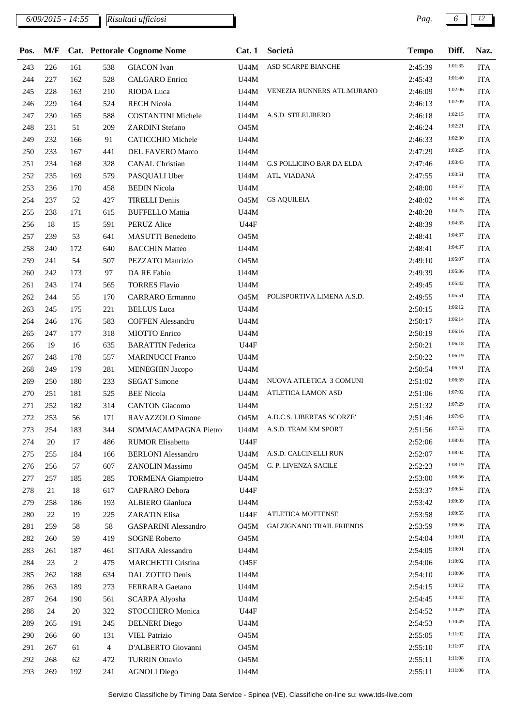| Pos. | M/F |     |     | Cat. Pettorale Cognome Nome | Cat.1       | Società                          | <b>Tempo</b> | Diff.   | Naz.       |
|------|-----|-----|-----|-----------------------------|-------------|----------------------------------|--------------|---------|------------|
| 243  | 226 | 161 | 538 | <b>GIACON</b> Ivan          | U44M        | ASD SCARPE BIANCHE               | 2:45:39      | 1:01:35 | <b>ITA</b> |
| 244  | 227 | 162 | 528 | <b>CALGARO</b> Enrico       | U44M        |                                  | 2:45:43      | 1:01:40 | <b>ITA</b> |
| 245  | 228 | 163 | 210 | RIODA Luca                  | U44M        | VENEZIA RUNNERS ATL.MURANO       | 2:46:09      | 1:02:06 | <b>ITA</b> |
| 246  | 229 | 164 | 524 | <b>RECH Nicola</b>          | U44M        |                                  | 2:46:13      | 1:02:09 | <b>ITA</b> |
| 247  | 230 | 165 | 588 | <b>COSTANTINI Michele</b>   | U44M        | A.S.D. STILELIBERO               | 2:46:18      | 1:02:15 | <b>ITA</b> |
| 248  | 231 | 51  | 209 | ZARDINI Stefano             | <b>O45M</b> |                                  | 2:46:24      | 1:02:21 | <b>ITA</b> |
| 249  | 232 | 166 | 91  | <b>CATICCHIO</b> Michele    | <b>U44M</b> |                                  | 2:46:33      | 1:02:30 | <b>ITA</b> |
| 250  | 233 | 167 | 441 | <b>DEL FAVERO Marco</b>     | U44M        |                                  | 2:47:29      | 1:03:25 | <b>ITA</b> |
| 251  | 234 | 168 | 328 | <b>CANAL Christian</b>      | U44M        | <b>G.S POLLICINO BAR DA ELDA</b> | 2:47:46      | 1:03:43 | <b>ITA</b> |
| 252  | 235 | 169 | 579 | PASQUALI Uber               | U44M        | ATL. VIADANA                     | 2:47:55      | 1:03:51 | <b>ITA</b> |
| 253  | 236 | 170 | 458 | <b>BEDIN Nicola</b>         | U44M        |                                  | 2:48:00      | 1:03:57 | <b>ITA</b> |
| 254  | 237 | 52  | 427 | <b>TIRELLI Deniis</b>       | <b>O45M</b> | <b>GS AQUILEIA</b>               | 2:48:02      | 1:03:58 | <b>ITA</b> |
| 255  | 238 | 171 | 615 | <b>BUFFELLO Mattia</b>      | U44M        |                                  | 2:48:28      | 1:04:25 | <b>ITA</b> |
| 256  | 18  | 15  | 591 | PERUZ Alice                 | <b>U44F</b> |                                  | 2:48:39      | 1:04:35 | <b>ITA</b> |
| 257  | 239 | 53  | 641 | <b>MASUTTI</b> Benedetto    | <b>O45M</b> |                                  | 2:48:41      | 1:04:37 | <b>ITA</b> |
| 258  | 240 | 172 | 640 | <b>BACCHIN Matteo</b>       | U44M        |                                  | 2:48:41      | 1:04:37 | <b>ITA</b> |
| 259  | 241 | 54  | 507 | PEZZATO Maurizio            | <b>O45M</b> |                                  | 2:49:10      | 1:05:07 | <b>ITA</b> |
| 260  | 242 | 173 | 97  | DA RE Fabio                 | U44M        |                                  | 2:49:39      | 1:05:36 | <b>ITA</b> |
| 261  | 243 | 174 | 565 | <b>TORRES Flavio</b>        | U44M        |                                  | 2:49:45      | 1:05:42 | <b>ITA</b> |
| 262  | 244 | 55  | 170 | <b>CARRARO</b> Ermanno      | O45M        | POLISPORTIVA LIMENA A.S.D.       | 2:49:55      | 1:05:51 | <b>ITA</b> |
| 263  | 245 | 175 | 221 | <b>BELLUS</b> Luca          | U44M        |                                  | 2:50:15      | 1:06:12 | <b>ITA</b> |
| 264  | 246 | 176 | 583 | <b>COFFEN Alessandro</b>    | U44M        |                                  | 2:50:17      | 1:06:14 | <b>ITA</b> |
| 265  | 247 | 177 | 318 | MIOTTO Enrico               | U44M        |                                  | 2:50:19      | 1:06:16 | <b>ITA</b> |
| 266  | 19  | 16  | 635 | <b>BARATTIN</b> Federica    | U44F        |                                  | 2:50:21      | 1:06:18 | <b>ITA</b> |
| 267  | 248 | 178 | 557 | <b>MARINUCCI Franco</b>     | U44M        |                                  | 2:50:22      | 1:06:19 | <b>ITA</b> |
| 268  | 249 | 179 | 281 | <b>MENEGHIN Jacopo</b>      | U44M        |                                  | 2:50:54      | 1:06:51 | <b>ITA</b> |
| 269  | 250 | 180 | 233 | <b>SEGAT Simone</b>         | U44M        | NUOVA ATLETICA 3 COMUNI          | 2:51:02      | 1:06:59 | <b>ITA</b> |
| 270  | 251 | 181 | 525 | <b>BEE Nicola</b>           | U44M        | ATLETICA LAMON ASD               | 2:51:06      | 1:07:02 | <b>ITA</b> |
| 271  | 252 | 182 | 314 | <b>CANTON</b> Giacomo       | U44M        |                                  | 2:51:32      | 1:07:29 | <b>ITA</b> |
| 272  | 253 | 56  | 171 | RAVAZZOLO Simone            | <b>O45M</b> | A.D.C.S. LIBERTAS SCORZE'        | 2:51:46      | 1:07:43 | <b>ITA</b> |
| 273  | 254 | 183 | 344 | SOMMACAMPAGNA Pietro        |             | U44M A.S.D. TEAM KM SPORT        | 2:51:56      | 1:07:53 | ITA        |
| 274  | 20  | 17  | 486 | <b>RUMOR Elisabetta</b>     | <b>U44F</b> |                                  | 2:52:06      | 1:08:03 | <b>ITA</b> |
| 275  | 255 | 184 | 166 | <b>BERLONI</b> Alessandro   | U44M        | A.S.D. CALCINELLI RUN            | 2:52:07      | 1:08:04 | <b>ITA</b> |
| 276  | 256 | 57  | 607 | ZANOLIN Massimo             | <b>O45M</b> | G. P. LIVENZA SACILE             | 2:52:23      | 1:08:19 | <b>ITA</b> |
| 277  | 257 | 185 | 285 | <b>TORMENA</b> Giampietro   | U44M        |                                  | 2:53:00      | 1:08:56 | <b>ITA</b> |
| 278  | 21  | 18  | 617 | CAPRARO Debora              | U44F        |                                  | 2:53:37      | 1:09:34 | <b>ITA</b> |
| 279  | 258 | 186 | 193 | ALBIERO Gianluca            | U44M        |                                  | 2:53:42      | 1:09:39 | <b>ITA</b> |
| 280  | 22  | 19  | 225 | <b>ZARATIN Elisa</b>        | <b>U44F</b> | ATLETICA MOTTENSE                | 2:53:58      | 1:09:55 | <b>ITA</b> |
| 281  | 259 | 58  | 58  | <b>GASPARINI</b> Alessandro | <b>O45M</b> | <b>GALZIGNANO TRAIL FRIENDS</b>  | 2:53:59      | 1:09:56 | <b>ITA</b> |
| 282  | 260 | 59  | 419 | <b>SOGNE Roberto</b>        | O45M        |                                  | 2:54:04      | 1:10:01 | <b>ITA</b> |
| 283  | 261 | 187 | 461 | SITARA Alessandro           | U44M        |                                  | 2:54:05      | 1:10:01 | <b>ITA</b> |
| 284  | 23  | 2   | 475 | <b>MARCHETTI Cristina</b>   | <b>O45F</b> |                                  | 2:54:06      | 1:10:02 | <b>ITA</b> |
| 285  | 262 | 188 | 634 | DAL ZOTTO Denis             | U44M        |                                  | 2:54:10      | 1:10:06 | <b>ITA</b> |
| 286  | 263 | 189 | 273 | <b>FERRARA</b> Gaetano      | U44M        |                                  | 2:54:15      | 1:10:12 | <b>ITA</b> |
| 287  | 264 | 190 | 561 | <b>SCARPA Alyosha</b>       | U44M        |                                  | 2:54:45      | 1:10:42 | <b>ITA</b> |
| 288  | 24  | 20  | 322 | STOCCHERO Monica            | U44F        |                                  | 2:54:52      | 1:10:49 | <b>ITA</b> |
| 289  | 265 | 191 | 245 | <b>DELNERI</b> Diego        | U44M        |                                  | 2:54:53      | 1:10:49 | <b>ITA</b> |
| 290  | 266 | 60  | 131 | <b>VIEL Patrizio</b>        | <b>O45M</b> |                                  | 2:55:05      | 1:11:02 | <b>ITA</b> |
| 291  | 267 | 61  | 4   | D'ALBERTO Giovanni          | <b>O45M</b> |                                  | 2:55:10      | 1:11:07 | <b>ITA</b> |
| 292  | 268 | 62  | 472 | <b>TURRIN Ottavio</b>       | <b>O45M</b> |                                  | 2:55:11      | 1:11:08 | <b>ITA</b> |
| 293  | 269 | 192 | 241 | <b>AGNOLI Diego</b>         | U44M        |                                  | 2:55:11      | 1:11:08 | <b>ITA</b> |
|      |     |     |     |                             |             |                                  |              |         |            |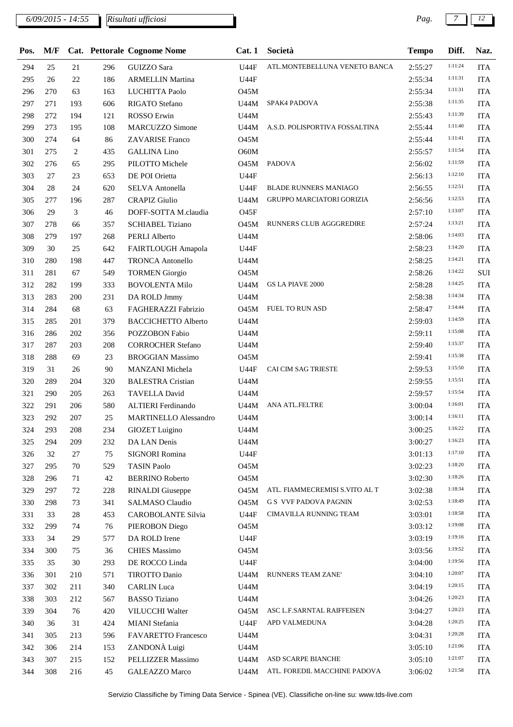| Pos. | M/F |     |        | Cat. Pettorale Cognome Nome | Cat. 1           | Società                        | <b>Tempo</b> | Diff.   | Naz.       |
|------|-----|-----|--------|-----------------------------|------------------|--------------------------------|--------------|---------|------------|
| 294  | 25  | 21  | 296    | GUIZZO Sara                 | U44F             | ATL.MONTEBELLUNA VENETO BANCA  | 2:55:27      | 1:11:24 | <b>ITA</b> |
| 295  | 26  | 22  | 186    | <b>ARMELLIN Martina</b>     | <b>U44F</b>      |                                | 2:55:34      | 1:11:31 | <b>ITA</b> |
| 296  | 270 | 63  | 163    | LUCHITTA Paolo              | <b>O45M</b>      |                                | 2:55:34      | 1:11:31 | <b>ITA</b> |
| 297  | 271 | 193 | 606    | <b>RIGATO</b> Stefano       | U44M             | SPAK4 PADOVA                   | 2:55:38      | 1:11:35 | <b>ITA</b> |
| 298  | 272 | 194 | 121    | ROSSO Erwin                 | U44M             |                                | 2:55:43      | 1:11:39 | <b>ITA</b> |
| 299  | 273 | 195 | 108    | <b>MARCUZZO Simone</b>      | U44M             | A.S.D. POLISPORTIVA FOSSALTINA | 2:55:44      | 1:11:40 | <b>ITA</b> |
| 300  | 274 | 64  | 86     | <b>ZAVARISE Franco</b>      | <b>O45M</b>      |                                | 2:55:44      | 1:11:41 | <b>ITA</b> |
| 301  | 275 | 2   | 435    | <b>GALLINA Lino</b>         | O60M             |                                | 2:55:57      | 1:11:54 | <b>ITA</b> |
| 302  | 276 | 65  | 295    | PILOTTO Michele             | <b>O45M</b>      | <b>PADOVA</b>                  | 2:56:02      | 1:11:59 | <b>ITA</b> |
| 303  | 27  | 23  | 653    | DE POI Orietta              | <b>U44F</b>      |                                | 2:56:13      | 1:12:10 | <b>ITA</b> |
| 304  | 28  | 24  | 620    | SELVA Antonella             | <b>U44F</b>      | <b>BLADE RUNNERS MANIAGO</b>   | 2:56:55      | 1:12:51 | <b>ITA</b> |
| 305  | 277 | 196 | 287    | <b>CRAPIZ Giulio</b>        | U44M             | GRUPPO MARCIATORI GORIZIA      | 2:56:56      | 1:12:53 | <b>ITA</b> |
| 306  | 29  | 3   | 46     | DOFF-SOTTA M.claudia        | O <sub>45F</sub> |                                | 2:57:10      | 1:13:07 | <b>ITA</b> |
| 307  | 278 | 66  | 357    | <b>SCHIABEL Tiziano</b>     | <b>O45M</b>      | RUNNERS CLUB AGGGREDIRE        | 2:57:24      | 1:13:21 | <b>ITA</b> |
| 308  | 279 | 197 | 268    | PERLI Alberto               | U44M             |                                | 2:58:06      | 1:14:03 | <b>ITA</b> |
| 309  | 30  | 25  | 642    | FAIRTLOUGH Amapola          | U44F             |                                | 2:58:23      | 1:14:20 | <b>ITA</b> |
| 310  | 280 | 198 | 447    | <b>TRONCA Antonello</b>     | U44M             |                                | 2:58:25      | 1:14:21 | <b>ITA</b> |
| 311  | 281 | 67  | 549    | <b>TORMEN Giorgio</b>       | O45M             |                                | 2:58:26      | 1:14:22 | SUI        |
| 312  | 282 | 199 | 333    | <b>BOVOLENTA Milo</b>       | U44M             | <b>GS LA PIAVE 2000</b>        | 2:58:28      | 1:14:25 | <b>ITA</b> |
| 313  | 283 | 200 |        |                             |                  |                                |              | 1:14:34 | <b>ITA</b> |
|      |     |     | 231    | DA ROLD Jmmy                | U44M             | <b>FUEL TO RUN ASD</b>         | 2:58:38      | 1:14:44 |            |
| 314  | 284 | 68  | 63     | FAGHERAZZI Fabrizio         | <b>O45M</b>      |                                | 2:58:47      | 1:14:59 | <b>ITA</b> |
| 315  | 285 | 201 | 379    | <b>BACCICHETTO Alberto</b>  | U44M             |                                | 2:59:03      | 1:15:08 | <b>ITA</b> |
| 316  | 286 | 202 | 356    | POZZOBON Fabio              | <b>U44M</b>      |                                | 2:59:11      | 1:15:37 | <b>ITA</b> |
| 317  | 287 | 203 | 208    | <b>CORROCHER Stefano</b>    | U44M             |                                | 2:59:40      |         | <b>ITA</b> |
| 318  | 288 | 69  | 23     | <b>BROGGIAN Massimo</b>     | <b>O45M</b>      |                                | 2:59:41      | 1:15:38 | <b>ITA</b> |
| 319  | 31  | 26  | 90     | MANZANI Michela             | <b>U44F</b>      | CAI CIM SAG TRIESTE            | 2:59:53      | 1:15:50 | <b>ITA</b> |
| 320  | 289 | 204 | 320    | <b>BALESTRA Cristian</b>    | U44M             |                                | 2:59:55      | 1:15:51 | <b>ITA</b> |
| 321  | 290 | 205 | 263    | <b>TAVELLA David</b>        | U44M             |                                | 2:59:57      | 1:15:54 | <b>ITA</b> |
| 322  | 291 | 206 | 580    | ALTIERI Ferdinando          | U44M             | ANA ATL.FELTRE                 | 3:00:04      | 1:16:01 | <b>ITA</b> |
| 323  | 292 | 207 | $25\,$ | MARTINELLO Alessandro       | U44M             |                                | 3:00:14      | 1:16:11 | <b>ITA</b> |
| 324  | 293 | 208 | 234    | GIOZET Luigino              | U44M             |                                | 3:00:25      | 1:16:22 | <b>ITA</b> |
| 325  | 294 | 209 | 232    | DA LAN Denis                | U44M             |                                | 3:00:27      | 1:16:23 | <b>ITA</b> |
| 326  | 32  | 27  | 75     | SIGNORI Romina              | U44F             |                                | 3:01:13      | 1:17:10 | <b>ITA</b> |
| 327  | 295 | 70  | 529    | <b>TASIN Paolo</b>          | <b>O45M</b>      |                                | 3:02:23      | 1:18:20 | <b>ITA</b> |
| 328  | 296 | 71  | 42     | <b>BERRINO Roberto</b>      | 045M             |                                | 3:02:30      | 1:18:26 | <b>ITA</b> |
| 329  | 297 | 72  | 228    | <b>RINALDI</b> Giuseppe     | 045M             | ATL. FIAMMECREMISI S.VITO AL T | 3:02:38      | 1:18:34 | <b>ITA</b> |
| 330  | 298 | 73  | 341    | SALMASO Claudio             | O45M             | <b>G S VVF PADOVA PAGNIN</b>   | 3:02:53      | 1:18:49 | <b>ITA</b> |
| 331  | 33  | 28  | 453    | <b>CAROBOLANTE Silvia</b>   | <b>U44F</b>      | CIMAVILLA RUNNING TEAM         | 3:03:01      | 1:18:58 | <b>ITA</b> |
| 332  | 299 | 74  | 76     | PIEROBON Diego              | 045M             |                                | 3:03:12      | 1:19:08 | <b>ITA</b> |
| 333  | 34  | 29  | 577    | DA ROLD Irene               | U44F             |                                | 3:03:19      | 1:19:16 | <b>ITA</b> |
| 334  | 300 | 75  | 36     | <b>CHIES Massimo</b>        | 045M             |                                | 3:03:56      | 1:19:52 | <b>ITA</b> |
| 335  | 35  | 30  | 293    | DE ROCCO Linda              | U44F             |                                | 3:04:00      | 1:19:56 | <b>ITA</b> |
| 336  | 301 | 210 | 571    | TIROTTO Danio               | U44M             | RUNNERS TEAM ZANE'             | 3:04:10      | 1:20:07 | <b>ITA</b> |
| 337  | 302 | 211 | 340    | <b>CARLIN</b> Luca          | <b>U44M</b>      |                                | 3:04:19      | 1:20:15 | <b>ITA</b> |
| 338  | 303 | 212 | 567    | <b>BASSO</b> Tiziano        | U44M             |                                | 3:04:26      | 1:20:23 | <b>ITA</b> |
| 339  | 304 | 76  | 420    | VILUCCHI Walter             | <b>O45M</b>      | ASC L.F.SARNTAL RAIFFEISEN     | 3:04:27      | 1:20:23 | <b>ITA</b> |
| 340  | 36  | 31  | 424    | MIANI Stefania              | <b>U44F</b>      | APD VALMEDUNA                  | 3:04:28      | 1:20:25 | <b>ITA</b> |
| 341  | 305 | 213 | 596    | <b>FAVARETTO Francesco</b>  | U44M             |                                | 3:04:31      | 1:20:28 | <b>ITA</b> |
| 342  | 306 | 214 | 153    | ZANDONÀ Luigi               | U44M             |                                | 3:05:10      | 1:21:06 | <b>ITA</b> |
| 343  | 307 | 215 | 152    | PELLIZZER Massimo           | U44M             | ASD SCARPE BIANCHE             | 3:05:10      | 1:21:07 | <b>ITA</b> |
| 344  | 308 | 216 | 45     | <b>GALEAZZO</b> Marco       | U44M             | ATL. FOREDIL MACCHINE PADOVA   | 3:06:02      | 1:21:58 | ITA        |
|      |     |     |        |                             |                  |                                |              |         |            |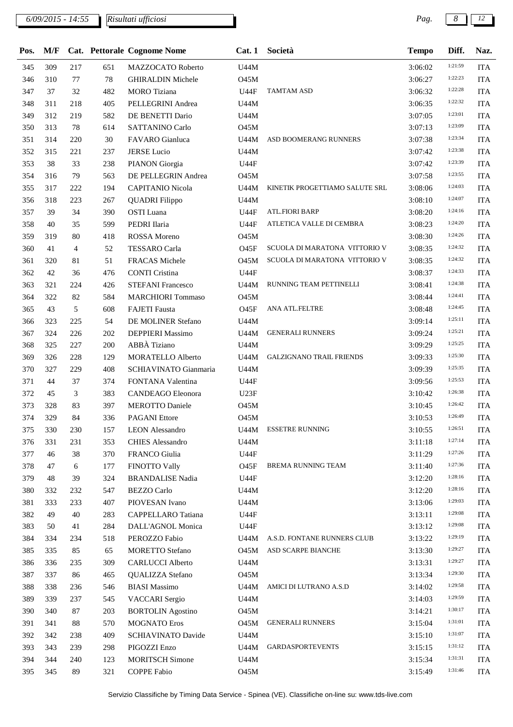*6/09/2015 - 14:55 Pag. 8 12 Risultati ufficiosi*

| Pos.       | M/F |                |            | Cat. Pettorale Cognome Nome | Cat.1            | Società                         | <b>Tempo</b>       | Diff.   | Naz.                     |
|------------|-----|----------------|------------|-----------------------------|------------------|---------------------------------|--------------------|---------|--------------------------|
| 345        | 309 | 217            | 651        | MAZZOCATO Roberto           | U44M             |                                 | 3:06:02            | 1:21:59 | <b>ITA</b>               |
| 346        | 310 | 77             | 78         | <b>GHIRALDIN Michele</b>    | <b>O45M</b>      |                                 | 3:06:27            | 1:22:23 | <b>ITA</b>               |
| 347        | 37  | 32             | 482        | <b>MORO</b> Tiziana         | U44F             | <b>TAMTAM ASD</b>               | 3:06:32            | 1:22:28 | <b>ITA</b>               |
| 348        | 311 | 218            | 405        | PELLEGRINI Andrea           | <b>U44M</b>      |                                 | 3:06:35            | 1:22:32 | <b>ITA</b>               |
| 349        | 312 | 219            | 582        | DE BENETTI Dario            | U44M             |                                 | 3:07:05            | 1:23:01 | <b>ITA</b>               |
| 350        | 313 | 78             | 614        | <b>SATTANINO Carlo</b>      | <b>O45M</b>      |                                 | 3:07:13            | 1:23:09 | <b>ITA</b>               |
| 351        | 314 | 220            | 30         | FAVARO Gianluca             | U44M             | ASD BOOMERANG RUNNERS           | 3:07:38            | 1:23:34 | <b>ITA</b>               |
| 352        | 315 | 221            | 237        | <b>JERSE Lucio</b>          | U44M             |                                 | 3:07:42            | 1:23:38 | <b>ITA</b>               |
| 353        | 38  | 33             | 238        | PIANON Giorgia              | <b>U44F</b>      |                                 | 3:07:42            | 1:23:39 | <b>ITA</b>               |
| 354        | 316 | 79             | 563        | DE PELLEGRIN Andrea         | <b>O45M</b>      |                                 | 3:07:58            | 1:23:55 | <b>ITA</b>               |
| 355        | 317 | 222            | 194        | <b>CAPITANIO Nicola</b>     | U44M             | KINETIK PROGETTIAMO SALUTE SRL  | 3:08:06            | 1:24:03 | <b>ITA</b>               |
| 356        | 318 | 223            | 267        | <b>QUADRI</b> Filippo       | U44M             |                                 | 3:08:10            | 1:24:07 | <b>ITA</b>               |
| 357        | 39  | 34             | 390        | OSTI Luana                  | <b>U44F</b>      | <b>ATL.FIORI BARP</b>           | 3:08:20            | 1:24:16 | <b>ITA</b>               |
| 358        | 40  | 35             | 599        | PEDRI Ilaria                | <b>U44F</b>      | ATLETICA VALLE DI CEMBRA        | 3:08:23            | 1:24:20 | <b>ITA</b>               |
| 359        | 319 | 80             | 418        | <b>ROSSA</b> Moreno         | O45M             |                                 | 3:08:30            | 1:24:26 | <b>ITA</b>               |
| 360        | 41  | $\overline{4}$ | 52         | <b>TESSARO</b> Carla        | O45F             | SCUOLA DI MARATONA VITTORIO V   | 3:08:35            | 1:24:32 | <b>ITA</b>               |
| 361        | 320 | 81             | 51         | FRACAS Michele              | O45M             | SCUOLA DI MARATONA VITTORIO V   | 3:08:35            | 1:24:32 | <b>ITA</b>               |
| 362        | 42  | 36             | 476        | <b>CONTI Cristina</b>       | <b>U44F</b>      |                                 | 3:08:37            | 1:24:33 | <b>ITA</b>               |
| 363        | 321 | 224            | 426        | <b>STEFANI Francesco</b>    | U44M             | RUNNING TEAM PETTINELLI         | 3:08:41            | 1:24:38 | <b>ITA</b>               |
| 364        | 322 | 82             | 584        | <b>MARCHIORI Tommaso</b>    | O45M             |                                 | 3:08:44            | 1:24:41 | <b>ITA</b>               |
| 365        | 43  | 5              | 608        | <b>FAJETI</b> Fausta        | O <sub>45F</sub> | ANA ATL.FELTRE                  | 3:08:48            | 1:24:45 | <b>ITA</b>               |
| 366        | 323 | 225            | 54         | DE MOLINER Stefano          | U44M             |                                 | 3:09:14            | 1:25:11 | <b>ITA</b>               |
| 367        | 324 | 226            | 202        | <b>DEPPIERI</b> Massimo     | U44M             | <b>GENERALI RUNNERS</b>         | 3:09:24            | 1:25:21 | <b>ITA</b>               |
| 368        | 325 | 227            | 200        | ABBÀ Tiziano                | U44M             |                                 | 3:09:29            | 1:25:25 | <b>ITA</b>               |
| 369        | 326 | 228            | 129        | MORATELLO Alberto           | U44M             | <b>GALZIGNANO TRAIL FRIENDS</b> | 3:09:33            | 1:25:30 | <b>ITA</b>               |
| 370        | 327 | 229            | 408        | SCHIAVINATO Gianmaria       | U44M             |                                 | 3:09:39            | 1:25:35 | <b>ITA</b>               |
| 371        | 44  | 37             | 374        | FONTANA Valentina           | U44F             |                                 | 3:09:56            | 1:25:53 | <b>ITA</b>               |
| 372        | 45  | 3              | 383        | CANDEAGO Eleonora           | U23F             |                                 | 3:10:42            | 1:26:38 | <b>ITA</b>               |
| 373        | 328 | 83             | 397        | <b>MEROTTO Daniele</b>      | O45M             |                                 | 3:10:45            | 1:26:42 | <b>ITA</b>               |
| 374        | 329 | 84             | 336        | <b>PAGANI</b> Ettore        | O45M             |                                 | 3:10:53            | 1:26:49 | <b>ITA</b>               |
| 375        | 330 | 230            | 157        | <b>LEON</b> Alessandro      |                  | U44M ESSETRE RUNNING            | 3:10:55            | 1:26:51 | <b>ITA</b>               |
| 376        | 331 | 231            | 353        | <b>CHIES Alessandro</b>     | U44M             |                                 | 3:11:18            | 1:27:14 | <b>ITA</b>               |
| 377        | 46  | 38             | 370        | FRANCO Giulia               | <b>U44F</b>      |                                 | 3:11:29            | 1:27:26 | <b>ITA</b>               |
| 378        | 47  | 6              | 177        | FINOTTO Vally               | 045F             | <b>BREMA RUNNING TEAM</b>       | 3:11:40            | 1:27:36 | <b>ITA</b>               |
| 379        | 48  | 39             | 324        | <b>BRANDALISE Nadia</b>     | <b>U44F</b>      |                                 | 3:12:20            | 1:28:16 | <b>ITA</b>               |
| 380        | 332 | 232            | 547        | <b>BEZZO</b> Carlo          | U44M             |                                 | 3:12:20            | 1:28:16 | <b>ITA</b>               |
| 381        | 333 | 233            | 407        | PIOVESAN Ivano              | U44M             |                                 | 3:13:06            | 1:29:03 | <b>ITA</b>               |
|            | 49  | 40             |            | CAPPELLARO Tatiana          | <b>U44F</b>      |                                 |                    | 1:29:08 |                          |
| 382        | 50  |                | 283        | DALL'AGNOL Monica           |                  |                                 | 3:13:11            | 1:29:08 | <b>ITA</b><br><b>ITA</b> |
| 383<br>384 | 334 | 41<br>234      | 284<br>518 | PEROZZO Fabio               | U44F<br>U44M     | A.S.D. FONTANE RUNNERS CLUB     | 3:13:12<br>3:13:22 | 1:29:19 | <b>ITA</b>               |
|            |     |                |            | <b>MORETTO Stefano</b>      | <b>O45M</b>      | ASD SCARPE BIANCHE              |                    | 1:29:27 |                          |
| 385        | 335 | 85             | 65         |                             |                  |                                 | 3:13:30            | 1:29:27 | <b>ITA</b>               |
| 386        | 336 | 235            | 309        | <b>CARLUCCI</b> Alberto     | U44M             |                                 | 3:13:31            | 1:29:30 | <b>ITA</b>               |
| 387        | 337 | 86             | 465        | QUALIZZA Stefano            | <b>O45M</b>      |                                 | 3:13:34            | 1:29:58 | <b>ITA</b>               |
| 388        | 338 | 236            | 546        | <b>BIASI</b> Massimo        | U44M             | AMICI DI LUTRANO A.S.D          | 3:14:02            | 1:29:59 | <b>ITA</b>               |
| 389        | 339 | 237            | 545        | <b>VACCARI</b> Sergio       | U44M             |                                 | 3:14:03            |         | <b>ITA</b>               |
| 390        | 340 | 87             | 203        | <b>BORTOLIN</b> Agostino    | <b>O45M</b>      |                                 | 3:14:21            | 1:30:17 | <b>ITA</b>               |
| 391        | 341 | 88             | 570        | <b>MOGNATO</b> Eros         | <b>O45M</b>      | <b>GENERALI RUNNERS</b>         | 3:15:04            | 1:31:01 | <b>ITA</b>               |
| 392        | 342 | 238            | 409        | SCHIAVINATO Davide          | U44M             |                                 | 3:15:10            | 1:31:07 | <b>ITA</b>               |
| 393        | 343 | 239            | 298        | PIGOZZI Enzo                | U44M             | <b>GARDASPORTEVENTS</b>         | 3:15:15            | 1:31:12 | <b>ITA</b>               |
| 394        | 344 | 240            | 123        | <b>MORITSCH Simone</b>      | U44M             |                                 | 3:15:34            | 1:31:31 | <b>ITA</b>               |
| 395        | 345 | 89             | 321        | <b>COPPE Fabio</b>          | O45M             |                                 | 3:15:49            | 1:31:46 | <b>ITA</b>               |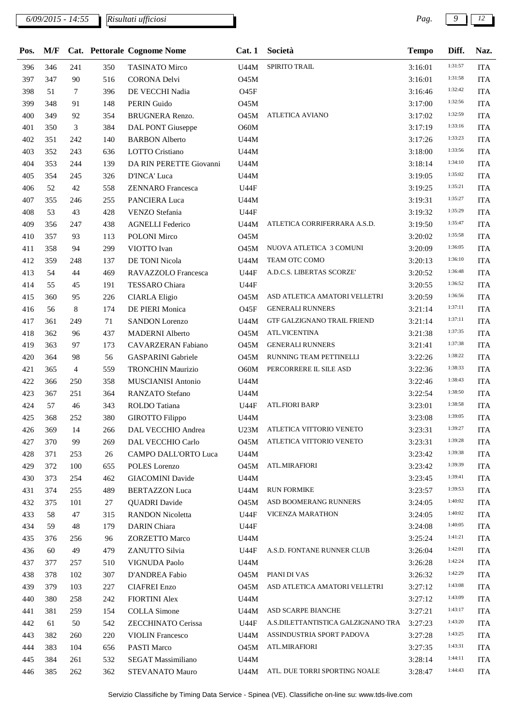*6/09/2015 - 14:55 Pag. 9 12 Risultati ufficiosi*

| Pos. | M/F |     |     | Cat. Pettorale Cognome Nome | Cat.1       | Società                            | <b>Tempo</b> | Diff.   | Naz.       |
|------|-----|-----|-----|-----------------------------|-------------|------------------------------------|--------------|---------|------------|
| 396  | 346 | 241 | 350 | <b>TASINATO Mirco</b>       | U44M        | SPIRITO TRAIL                      | 3:16:01      | 1:31:57 | <b>ITA</b> |
| 397  | 347 | 90  | 516 | <b>CORONA Delvi</b>         | O45M        |                                    | 3:16:01      | 1:31:58 | <b>ITA</b> |
| 398  | 51  | 7   | 396 | DE VECCHI Nadia             | O45F        |                                    | 3:16:46      | 1:32:42 | <b>ITA</b> |
| 399  | 348 | 91  | 148 | PERIN Guido                 | <b>O45M</b> |                                    | 3:17:00      | 1:32:56 | <b>ITA</b> |
| 400  | 349 | 92  | 354 | BRUGNERA Renzo.             | <b>O45M</b> | <b>ATLETICA AVIANO</b>             | 3:17:02      | 1:32:59 | <b>ITA</b> |
| 401  | 350 | 3   | 384 | DAL PONT Giuseppe           | O60M        |                                    | 3:17:19      | 1:33:16 | <b>ITA</b> |
| 402  | 351 | 242 | 140 | <b>BARBON</b> Alberto       | U44M        |                                    | 3:17:26      | 1:33:23 | <b>ITA</b> |
| 403  | 352 | 243 | 636 | LOTTO Cristiano             | U44M        |                                    | 3:18:00      | 1:33:56 | <b>ITA</b> |
| 404  | 353 | 244 | 139 | DA RIN PERETTE Giovanni     | U44M        |                                    | 3:18:14      | 1:34:10 | <b>ITA</b> |
| 405  | 354 | 245 | 326 | D'INCA' Luca                | U44M        |                                    | 3:19:05      | 1:35:02 | <b>ITA</b> |
| 406  | 52  | 42  | 558 | <b>ZENNARO</b> Francesca    | <b>U44F</b> |                                    | 3:19:25      | 1:35:21 | <b>ITA</b> |
| 407  | 355 | 246 | 255 | PANCIERA Luca               | U44M        |                                    | 3:19:31      | 1:35:27 | <b>ITA</b> |
| 408  | 53  | 43  | 428 | VENZO Stefania              | <b>U44F</b> |                                    | 3:19:32      | 1:35:29 | <b>ITA</b> |
| 409  | 356 | 247 | 438 | <b>AGNELLI</b> Federico     | U44M        | ATLETICA CORRIFERRARA A.S.D.       | 3:19:50      | 1:35:47 | <b>ITA</b> |
| 410  | 357 | 93  | 113 | POLONI Mirco                | <b>O45M</b> |                                    | 3:20:02      | 1:35:58 | <b>ITA</b> |
| 411  | 358 | 94  | 299 | VIOTTO Ivan                 | O45M        | NUOVA ATLETICA 3 COMUNI            | 3:20:09      | 1:36:05 | <b>ITA</b> |
| 412  | 359 | 248 | 137 | DE TONI Nicola              | U44M        | TEAM OTC COMO                      | 3:20:13      | 1:36:10 | <b>ITA</b> |
| 413  | 54  | 44  | 469 | RAVAZZOLO Francesca         | <b>U44F</b> | A.D.C.S. LIBERTAS SCORZE'          | 3:20:52      | 1:36:48 | <b>ITA</b> |
| 414  | 55  | 45  | 191 | TESSARO Chiara              | <b>U44F</b> |                                    | 3:20:55      | 1:36:52 | <b>ITA</b> |
| 415  | 360 | 95  | 226 | <b>CIARLA Eligio</b>        | O45M        | ASD ATLETICA AMATORI VELLETRI      | 3:20:59      | 1:36:56 | <b>ITA</b> |
| 416  | 56  | 8   | 174 | DE PIERI Monica             | O45F        | <b>GENERALI RUNNERS</b>            | 3:21:14      | 1:37:11 | <b>ITA</b> |
| 417  | 361 | 249 | 71  | <b>SANDON Lorenzo</b>       | U44M        | GTF GALZIGNANO TRAIL FRIEND        | 3:21:14      | 1:37:11 | <b>ITA</b> |
| 418  | 362 | 96  | 437 | <b>MADERNI</b> Alberto      | <b>O45M</b> | <b>ATL.VICENTINA</b>               | 3:21:38      | 1:37:35 | <b>ITA</b> |
| 419  | 363 | 97  | 173 | CAVARZERAN Fabiano          | 045M        | <b>GENERALI RUNNERS</b>            | 3:21:41      | 1:37:38 | <b>ITA</b> |
| 420  | 364 | 98  | 56  | <b>GASPARINI Gabriele</b>   | O45M        | RUNNING TEAM PETTINELLI            | 3:22:26      | 1:38:22 | <b>ITA</b> |
| 421  | 365 | 4   | 559 | <b>TRONCHIN Maurizio</b>    | O60M        | PERCORRERE IL SILE ASD             | 3:22:36      | 1:38:33 | <b>ITA</b> |
| 422  | 366 | 250 | 358 | MUSCIANISI Antonio          | U44M        |                                    | 3:22:46      | 1:38:43 | <b>ITA</b> |
| 423  | 367 | 251 | 364 | RANZATO Stefano             | U44M        |                                    | 3:22:54      | 1:38:50 | <b>ITA</b> |
| 424  | 57  | 46  | 343 | ROLDO Tatiana               | <b>U44F</b> | <b>ATL.FIORI BARP</b>              | 3:23:01      | 1:38:58 | <b>ITA</b> |
| 425  | 368 | 252 | 380 | <b>GIROTTO</b> Filippo      | U44M        |                                    | 3:23:08      | 1:39:05 | <b>ITA</b> |
| 426  | 369 | 14  | 266 | DAL VECCHIO Andrea          | U23M        | ATLETICA VITTORIO VENETO           | 3:23:31      | 1:39:27 | <b>ITA</b> |
| 427  | 370 | 99  | 269 | DAL VECCHIO Carlo           | <b>O45M</b> | ATLETICA VITTORIO VENETO           | 3:23:31      | 1:39:28 | <b>ITA</b> |
| 428  | 371 | 253 | 26  | CAMPO DALL'ORTO Luca        | U44M        |                                    | 3:23:42      | 1:39:38 | <b>ITA</b> |
| 429  | 372 | 100 | 655 | POLES Lorenzo               | O45M        | ATL.MIRAFIORI                      | 3:23:42      | 1:39:39 | <b>ITA</b> |
| 430  | 373 | 254 | 462 | <b>GIACOMINI</b> Davide     | U44M        |                                    | 3:23:45      | 1:39:41 | <b>ITA</b> |
| 431  | 374 | 255 | 489 | <b>BERTAZZON Luca</b>       | U44M        | <b>RUN FORMIKE</b>                 | 3:23:57      | 1:39:53 | <b>ITA</b> |
| 432  | 375 | 101 | 27  | <b>QUADRI</b> Davide        | 045M        | ASD BOOMERANG RUNNERS              | 3:24:05      | 1:40:02 | <b>ITA</b> |
| 433  | 58  | 47  | 315 | <b>RANDON Nicoletta</b>     | U44F        | VICENZA MARATHON                   | 3:24:05      | 1:40:02 | <b>ITA</b> |
| 434  | 59  | 48  | 179 | DARIN Chiara                | <b>U44F</b> |                                    | 3:24:08      | 1:40:05 | <b>ITA</b> |
| 435  | 376 | 256 | 96  | <b>ZORZETTO Marco</b>       | U44M        |                                    | 3:25:24      | 1:41:21 | <b>ITA</b> |
| 436  | 60  | 49  | 479 | ZANUTTO Silvia              | <b>U44F</b> | A.S.D. FONTANE RUNNER CLUB         | 3:26:04      | 1:42:01 | <b>ITA</b> |
| 437  | 377 | 257 | 510 | VIGNUDA Paolo               | U44M        |                                    | 3:26:28      | 1:42:24 | <b>ITA</b> |
| 438  | 378 | 102 | 307 | D'ANDREA Fabio              | O45M        | PIANI DI VAS                       | 3:26:32      | 1:42:29 | <b>ITA</b> |
| 439  | 379 | 103 | 227 | <b>CIAFREI Enzo</b>         | O45M        | ASD ATLETICA AMATORI VELLETRI      | 3:27:12      | 1:43:08 | <b>ITA</b> |
| 440  | 380 | 258 | 242 | <b>FIORTINI Alex</b>        | U44M        |                                    | 3:27:12      | 1:43:09 | <b>ITA</b> |
| 441  | 381 | 259 | 154 | <b>COLLA</b> Simone         | U44M        | ASD SCARPE BIANCHE                 | 3:27:21      | 1:43:17 | <b>ITA</b> |
| 442  | 61  | 50  | 542 | ZECCHINATO Cerissa          | <b>U44F</b> | A.S.DILETTANTISTICA GALZIGNANO TRA | 3:27:23      | 1:43:20 | <b>ITA</b> |
| 443  | 382 | 260 | 220 | <b>VIOLIN</b> Francesco     | U44M        | ASSINDUSTRIA SPORT PADOVA          | 3:27:28      | 1:43:25 | <b>ITA</b> |
| 444  | 383 | 104 | 656 | PASTI Marco                 | O45M        | ATL.MIRAFIORI                      | 3:27:35      | 1:43:31 | <b>ITA</b> |
| 445  | 384 | 261 | 532 | SEGAT Massimiliano          | U44M        |                                    | 3:28:14      | 1:44:11 | <b>ITA</b> |
| 446  | 385 | 262 | 362 | <b>STEVANATO Mauro</b>      | U44M        | ATL. DUE TORRI SPORTING NOALE      | 3:28:47      | 1:44:43 | <b>ITA</b> |
|      |     |     |     |                             |             |                                    |              |         |            |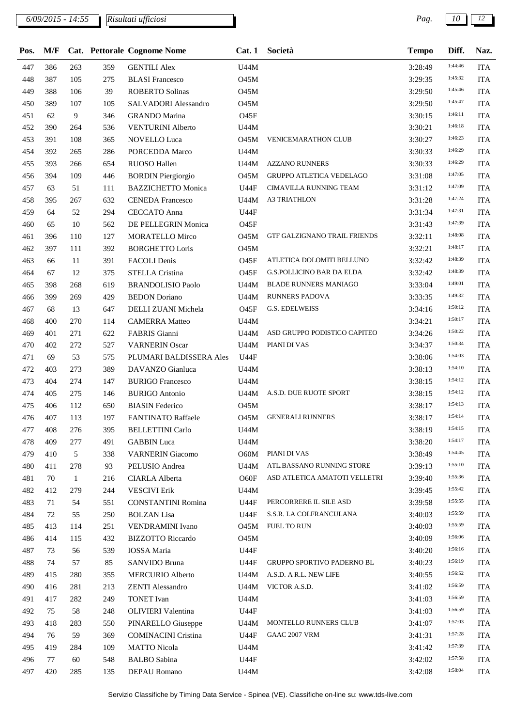| 1:44:46<br>447<br>386<br>263<br>359<br><b>GENTILI Alex</b><br>U44M<br>3:28:49<br><b>ITA</b><br>1:45:32<br>387<br>105<br>448<br>275<br><b>BLASI</b> Francesco<br><b>O45M</b><br>3:29:35<br><b>ITA</b><br>1:45:46<br>449<br>388<br>106<br>39<br><b>ROBERTO Solinas</b><br><b>O45M</b><br><b>ITA</b><br>3:29:50<br>1:45:47<br>389<br>107<br>450<br>105<br>SALVADORI Alessandro<br>O45M<br><b>ITA</b><br>3:29:50<br>1:46:11<br>9<br><b>ITA</b><br>451<br>62<br>346<br><b>GRANDO</b> Marina<br><b>O45F</b><br>3:30:15<br>1:46:18<br>452<br><b>ITA</b><br>390<br>264<br>536<br><b>VENTURINI Alberto</b><br>U44M<br>3:30:21<br>1:46:23<br>453<br>391<br>108<br>NOVELLO Luca<br><b>O45M</b><br>VENICEMARATHON CLUB<br><b>ITA</b><br>365<br>3:30:27<br>1:46:29<br>454<br>392<br>265<br>286<br>PORCEDDA Marco<br>U44M<br><b>ITA</b><br>3:30:33<br>1:46:29<br>455<br>393<br>654<br>RUOSO Hallen<br><b>U44M</b><br><b>AZZANO RUNNERS</b><br><b>ITA</b><br>266<br>3:30:33<br>1:47:05<br>109<br><b>BORDIN Piergiorgio</b><br><b>GRUPPO ATLETICA VEDELAGO</b><br>456<br>394<br>446<br><b>O45M</b><br><b>ITA</b><br>3:31:08<br>1:47:09<br>CIMAVILLA RUNNING TEAM<br><b>ITA</b><br>457<br>63<br>51<br>111<br><b>BAZZICHETTO Monica</b><br><b>U44F</b><br>3:31:12<br>1:47:24<br>458<br>U44M<br><b>A3 TRIATHLON</b><br><b>ITA</b><br>395<br>267<br>632<br><b>CENEDA Francesco</b><br>3:31:28<br>1:47:31<br>459<br>52<br>294<br><b>CECCATO</b> Anna<br><b>U44F</b><br>64<br>3:31:34<br><b>ITA</b><br>1:47:39<br>10<br>460<br>65<br>562<br>DE PELLEGRIN Monica<br><b>O45F</b><br><b>ITA</b><br>3:31:43<br>1:48:08<br>127<br><b>O45M</b><br>GTF GALZIGNANO TRAIL FRIENDS<br><b>ITA</b><br>461<br>396<br>110<br><b>MORATELLO Mirco</b><br>3:32:11<br>1:48:17<br>462<br>397<br>392<br><b>O45M</b><br>111<br><b>BORGHETTO Loris</b><br>3:32:21<br><b>ITA</b><br>1:48:39<br>463<br>ATLETICA DOLOMITI BELLUNO<br><b>ITA</b><br>66<br>11<br>391<br>FACOLI Denis<br><b>O45F</b><br>3:32:42<br>1:48:39<br>464<br><b>STELLA Cristina</b><br>O <sub>45F</sub><br><b>G.S.POLLICINO BAR DA ELDA</b><br><b>ITA</b><br>67<br>12<br>375<br>3:32:42<br>1:49:01<br>465<br>268<br>U44M<br><b>BLADE RUNNERS MANIAGO</b><br>398<br>619<br><b>BRANDOLISIO Paolo</b><br>3:33:04<br><b>ITA</b><br>1:49:32<br><b>RUNNERS PADOVA</b><br>466<br>399<br>269<br>429<br><b>BEDON</b> Doriano<br>U44M<br><b>ITA</b><br>3:33:35<br>1:50:12<br>O <sub>45F</sub><br>G.S. EDELWEISS<br><b>ITA</b><br>467<br>68<br>13<br>647<br>DELLI ZUANI Michela<br>3:34:16<br>1:50:17<br>468<br>270<br>400<br>114<br><b>CAMERRA</b> Matteo<br>U44M<br><b>ITA</b><br>3:34:21<br>1:50:22<br>469<br>ASD GRUPPO PODISTICO CAPITEO<br><b>ITA</b><br>401<br>271<br>622<br>FABRIS Gianni<br>U44M<br>3:34:26<br>1:50:34<br>470<br><b>VARNERIN Oscar</b><br>U44M<br>PIANI DI VAS<br><b>ITA</b><br>402<br>272<br>527<br>3:34:37<br>1:54:03<br>53<br>471<br>69<br>575<br>PLUMARI BALDISSERA Ales<br><b>U44F</b><br>3:38:06<br><b>ITA</b><br>1:54:10<br>472<br>403<br>273<br>389<br>DAVANZO Gianluca<br>U44M<br><b>ITA</b><br>3:38:13<br>1:54:12<br>473<br>404<br>274<br><b>BURIGO Francesco</b><br><b>U44M</b><br><b>ITA</b><br>147<br>3:38:15<br>1:54:12<br>A.S.D. DUE RUOTE SPORT<br>474<br>405<br>275<br>146<br><b>BURIGO</b> Antonio<br>U44M<br>3:38:15<br><b>ITA</b><br>1:54:13<br>475<br>406<br>112<br>650<br><b>BIASIN</b> Federico<br><b>O45M</b><br><b>ITA</b><br>3:38:17<br>1:54:14<br><b>GENERALI RUNNERS</b><br>476<br>407<br>113<br><b>O45M</b><br><b>ITA</b><br>197<br>FANTINATO Raffaele<br>3:38:17<br>1:54:15<br>395<br>3:38:19<br><b>ITA</b><br>477<br>408<br>276<br><b>BELLETTINI Carlo</b><br>U44M<br>1:54:17<br>478<br>409<br>277<br>491<br><b>GABBIN</b> Luca<br>U44M<br>3:38:20<br><b>ITA</b><br>1:54:45<br>O60M<br>PIANI DI VAS<br>479<br>410<br>5<br>338<br><b>VARNERIN</b> Giacomo<br>3:38:49<br><b>ITA</b><br>1:55:10<br>ATL.BASSANO RUNNING STORE<br>480<br>411<br>278<br>93<br>PELUSIO Andrea<br>U44M<br><b>ITA</b><br>3:39:13<br>1:55:36<br>ASD ATLETICA AMATOTI VELLETRI<br>481<br>70<br>216<br>CIARLA Alberta<br>O60F<br><b>ITA</b><br>1<br>3:39:40<br>1:55:42<br>482<br>412<br>244<br><b>VESCIVI Erik</b><br>U44M<br><b>ITA</b><br>279<br>3:39:45<br>1:55:55<br>PERCORRERE IL SILE ASD<br>483<br>551<br><b>CONSTANTINI Romina</b><br><b>U44F</b><br><b>ITA</b><br>71<br>54<br>3:39:58<br>1:55:59<br>S.S.R. LA COLFRANCULANA<br>484<br>72<br>55<br>250<br><b>BOLZAN</b> Lisa<br><b>U44F</b><br><b>ITA</b><br>3:40:03<br>1:55:59<br><b>FUEL TO RUN</b><br>485<br>413<br>251<br><b>VENDRAMINI</b> Ivano<br>O45M<br>3:40:03<br><b>ITA</b><br>114<br>1:56:06<br>O45M<br>486<br>432<br><b>BIZZOTTO Riccardo</b><br>3:40:09<br><b>ITA</b><br>414<br>115<br>1:56:16<br>487<br>56<br>539<br>IOSSA Maria<br>U44F<br><b>ITA</b><br>73<br>3:40:20<br>1:56:19<br>488<br>57<br>85<br>SANVIDO Bruna<br><b>U44F</b><br><b>GRUPPO SPORTIVO PADERNO BL</b><br>3:40:23<br><b>ITA</b><br>74<br>1:56:52<br>A.S.D. A R.L. NEW LIFE<br>489<br>280<br><b>MERCURIO Alberto</b><br>U44M<br><b>ITA</b><br>415<br>355<br>3:40:55<br>1:56:59<br>VICTOR A.S.D.<br>490<br>281<br>213<br><b>ZENTI Alessandro</b><br>U44M<br><b>ITA</b><br>416<br>3:41:02<br>1:56:59<br><b>TONET</b> Ivan<br>491<br>417<br>282<br>249<br>U44M<br><b>ITA</b><br>3:41:03<br>1:56:59<br>492<br>75<br>58<br>248<br><b>OLIVIERI</b> Valentina<br><b>U44F</b><br><b>ITA</b><br>3:41:03<br>1:57:03<br>MONTELLO RUNNERS CLUB<br>493<br>283<br>550<br>PINARELLO Giuseppe<br><b>ITA</b><br>418<br>U44M<br>3:41:07<br>1:57:28<br>494<br>59<br>369<br><b>COMINACINI Cristina</b><br>U44F<br>GAAC 2007 VRM<br><b>ITA</b><br>76<br>3:41:31<br>1:57:39<br>495<br>284<br>109<br><b>MATTO Nicola</b><br>U44M<br><b>ITA</b><br>419<br>3:41:42<br>1:57:58<br>496<br>60<br>548<br><b>BALBO</b> Sabina<br>U44F<br>3:42:02<br><b>ITA</b><br>77<br>1:58:04<br>497<br>420<br>285<br>135<br>DEPAU Romano<br>U44M<br>3:42:08<br><b>ITA</b> | Pos. | M/F |  | Cat. Pettorale Cognome Nome | Cat.1 | Società | <b>Tempo</b> | Diff. | Naz. |
|-----------------------------------------------------------------------------------------------------------------------------------------------------------------------------------------------------------------------------------------------------------------------------------------------------------------------------------------------------------------------------------------------------------------------------------------------------------------------------------------------------------------------------------------------------------------------------------------------------------------------------------------------------------------------------------------------------------------------------------------------------------------------------------------------------------------------------------------------------------------------------------------------------------------------------------------------------------------------------------------------------------------------------------------------------------------------------------------------------------------------------------------------------------------------------------------------------------------------------------------------------------------------------------------------------------------------------------------------------------------------------------------------------------------------------------------------------------------------------------------------------------------------------------------------------------------------------------------------------------------------------------------------------------------------------------------------------------------------------------------------------------------------------------------------------------------------------------------------------------------------------------------------------------------------------------------------------------------------------------------------------------------------------------------------------------------------------------------------------------------------------------------------------------------------------------------------------------------------------------------------------------------------------------------------------------------------------------------------------------------------------------------------------------------------------------------------------------------------------------------------------------------------------------------------------------------------------------------------------------------------------------------------------------------------------------------------------------------------------------------------------------------------------------------------------------------------------------------------------------------------------------------------------------------------------------------------------------------------------------------------------------------------------------------------------------------------------------------------------------------------------------------------------------------------------------------------------------------------------------------------------------------------------------------------------------------------------------------------------------------------------------------------------------------------------------------------------------------------------------------------------------------------------------------------------------------------------------------------------------------------------------------------------------------------------------------------------------------------------------------------------------------------------------------------------------------------------------------------------------------------------------------------------------------------------------------------------------------------------------------------------------------------------------------------------------------------------------------------------------------------------------------------------------------------------------------------------------------------------------------------------------------------------------------------------------------------------------------------------------------------------------------------------------------------------------------------------------------------------------------------------------------------------------------------------------------------------------------------------------------------------------------------------------------------------------------------------------------------------------------------------------------------------------------------------------------------------------------------------------------------------------------------------------------------------------------------------------------------------------------------------------------------------------------------------------------------------------------------------------------------------------------------------------------------------------------------------------------------------------------------------------------------------------------------------------------------------------------------------------------------------------------------------------------------------------------------------------------------------------------------------------------------------------------------------------------------------------------------------------------------------------------------------------------------------------------------------------------------------------------------------------------------------------------------------------------------------------------------------------------------------------------------------------------|------|-----|--|-----------------------------|-------|---------|--------------|-------|------|
|                                                                                                                                                                                                                                                                                                                                                                                                                                                                                                                                                                                                                                                                                                                                                                                                                                                                                                                                                                                                                                                                                                                                                                                                                                                                                                                                                                                                                                                                                                                                                                                                                                                                                                                                                                                                                                                                                                                                                                                                                                                                                                                                                                                                                                                                                                                                                                                                                                                                                                                                                                                                                                                                                                                                                                                                                                                                                                                                                                                                                                                                                                                                                                                                                                                                                                                                                                                                                                                                                                                                                                                                                                                                                                                                                                                                                                                                                                                                                                                                                                                                                                                                                                                                                                                                                                                                                                                                                                                                                                                                                                                                                                                                                                                                                                                                                                                                                                                                                                                                                                                                                                                                                                                                                                                                                                                                                                                                                                                                                                                                                                                                                                                                                                                                                                                                                                                                                                                 |      |     |  |                             |       |         |              |       |      |
|                                                                                                                                                                                                                                                                                                                                                                                                                                                                                                                                                                                                                                                                                                                                                                                                                                                                                                                                                                                                                                                                                                                                                                                                                                                                                                                                                                                                                                                                                                                                                                                                                                                                                                                                                                                                                                                                                                                                                                                                                                                                                                                                                                                                                                                                                                                                                                                                                                                                                                                                                                                                                                                                                                                                                                                                                                                                                                                                                                                                                                                                                                                                                                                                                                                                                                                                                                                                                                                                                                                                                                                                                                                                                                                                                                                                                                                                                                                                                                                                                                                                                                                                                                                                                                                                                                                                                                                                                                                                                                                                                                                                                                                                                                                                                                                                                                                                                                                                                                                                                                                                                                                                                                                                                                                                                                                                                                                                                                                                                                                                                                                                                                                                                                                                                                                                                                                                                                                 |      |     |  |                             |       |         |              |       |      |
|                                                                                                                                                                                                                                                                                                                                                                                                                                                                                                                                                                                                                                                                                                                                                                                                                                                                                                                                                                                                                                                                                                                                                                                                                                                                                                                                                                                                                                                                                                                                                                                                                                                                                                                                                                                                                                                                                                                                                                                                                                                                                                                                                                                                                                                                                                                                                                                                                                                                                                                                                                                                                                                                                                                                                                                                                                                                                                                                                                                                                                                                                                                                                                                                                                                                                                                                                                                                                                                                                                                                                                                                                                                                                                                                                                                                                                                                                                                                                                                                                                                                                                                                                                                                                                                                                                                                                                                                                                                                                                                                                                                                                                                                                                                                                                                                                                                                                                                                                                                                                                                                                                                                                                                                                                                                                                                                                                                                                                                                                                                                                                                                                                                                                                                                                                                                                                                                                                                 |      |     |  |                             |       |         |              |       |      |
|                                                                                                                                                                                                                                                                                                                                                                                                                                                                                                                                                                                                                                                                                                                                                                                                                                                                                                                                                                                                                                                                                                                                                                                                                                                                                                                                                                                                                                                                                                                                                                                                                                                                                                                                                                                                                                                                                                                                                                                                                                                                                                                                                                                                                                                                                                                                                                                                                                                                                                                                                                                                                                                                                                                                                                                                                                                                                                                                                                                                                                                                                                                                                                                                                                                                                                                                                                                                                                                                                                                                                                                                                                                                                                                                                                                                                                                                                                                                                                                                                                                                                                                                                                                                                                                                                                                                                                                                                                                                                                                                                                                                                                                                                                                                                                                                                                                                                                                                                                                                                                                                                                                                                                                                                                                                                                                                                                                                                                                                                                                                                                                                                                                                                                                                                                                                                                                                                                                 |      |     |  |                             |       |         |              |       |      |
|                                                                                                                                                                                                                                                                                                                                                                                                                                                                                                                                                                                                                                                                                                                                                                                                                                                                                                                                                                                                                                                                                                                                                                                                                                                                                                                                                                                                                                                                                                                                                                                                                                                                                                                                                                                                                                                                                                                                                                                                                                                                                                                                                                                                                                                                                                                                                                                                                                                                                                                                                                                                                                                                                                                                                                                                                                                                                                                                                                                                                                                                                                                                                                                                                                                                                                                                                                                                                                                                                                                                                                                                                                                                                                                                                                                                                                                                                                                                                                                                                                                                                                                                                                                                                                                                                                                                                                                                                                                                                                                                                                                                                                                                                                                                                                                                                                                                                                                                                                                                                                                                                                                                                                                                                                                                                                                                                                                                                                                                                                                                                                                                                                                                                                                                                                                                                                                                                                                 |      |     |  |                             |       |         |              |       |      |
|                                                                                                                                                                                                                                                                                                                                                                                                                                                                                                                                                                                                                                                                                                                                                                                                                                                                                                                                                                                                                                                                                                                                                                                                                                                                                                                                                                                                                                                                                                                                                                                                                                                                                                                                                                                                                                                                                                                                                                                                                                                                                                                                                                                                                                                                                                                                                                                                                                                                                                                                                                                                                                                                                                                                                                                                                                                                                                                                                                                                                                                                                                                                                                                                                                                                                                                                                                                                                                                                                                                                                                                                                                                                                                                                                                                                                                                                                                                                                                                                                                                                                                                                                                                                                                                                                                                                                                                                                                                                                                                                                                                                                                                                                                                                                                                                                                                                                                                                                                                                                                                                                                                                                                                                                                                                                                                                                                                                                                                                                                                                                                                                                                                                                                                                                                                                                                                                                                                 |      |     |  |                             |       |         |              |       |      |
|                                                                                                                                                                                                                                                                                                                                                                                                                                                                                                                                                                                                                                                                                                                                                                                                                                                                                                                                                                                                                                                                                                                                                                                                                                                                                                                                                                                                                                                                                                                                                                                                                                                                                                                                                                                                                                                                                                                                                                                                                                                                                                                                                                                                                                                                                                                                                                                                                                                                                                                                                                                                                                                                                                                                                                                                                                                                                                                                                                                                                                                                                                                                                                                                                                                                                                                                                                                                                                                                                                                                                                                                                                                                                                                                                                                                                                                                                                                                                                                                                                                                                                                                                                                                                                                                                                                                                                                                                                                                                                                                                                                                                                                                                                                                                                                                                                                                                                                                                                                                                                                                                                                                                                                                                                                                                                                                                                                                                                                                                                                                                                                                                                                                                                                                                                                                                                                                                                                 |      |     |  |                             |       |         |              |       |      |
|                                                                                                                                                                                                                                                                                                                                                                                                                                                                                                                                                                                                                                                                                                                                                                                                                                                                                                                                                                                                                                                                                                                                                                                                                                                                                                                                                                                                                                                                                                                                                                                                                                                                                                                                                                                                                                                                                                                                                                                                                                                                                                                                                                                                                                                                                                                                                                                                                                                                                                                                                                                                                                                                                                                                                                                                                                                                                                                                                                                                                                                                                                                                                                                                                                                                                                                                                                                                                                                                                                                                                                                                                                                                                                                                                                                                                                                                                                                                                                                                                                                                                                                                                                                                                                                                                                                                                                                                                                                                                                                                                                                                                                                                                                                                                                                                                                                                                                                                                                                                                                                                                                                                                                                                                                                                                                                                                                                                                                                                                                                                                                                                                                                                                                                                                                                                                                                                                                                 |      |     |  |                             |       |         |              |       |      |
|                                                                                                                                                                                                                                                                                                                                                                                                                                                                                                                                                                                                                                                                                                                                                                                                                                                                                                                                                                                                                                                                                                                                                                                                                                                                                                                                                                                                                                                                                                                                                                                                                                                                                                                                                                                                                                                                                                                                                                                                                                                                                                                                                                                                                                                                                                                                                                                                                                                                                                                                                                                                                                                                                                                                                                                                                                                                                                                                                                                                                                                                                                                                                                                                                                                                                                                                                                                                                                                                                                                                                                                                                                                                                                                                                                                                                                                                                                                                                                                                                                                                                                                                                                                                                                                                                                                                                                                                                                                                                                                                                                                                                                                                                                                                                                                                                                                                                                                                                                                                                                                                                                                                                                                                                                                                                                                                                                                                                                                                                                                                                                                                                                                                                                                                                                                                                                                                                                                 |      |     |  |                             |       |         |              |       |      |
|                                                                                                                                                                                                                                                                                                                                                                                                                                                                                                                                                                                                                                                                                                                                                                                                                                                                                                                                                                                                                                                                                                                                                                                                                                                                                                                                                                                                                                                                                                                                                                                                                                                                                                                                                                                                                                                                                                                                                                                                                                                                                                                                                                                                                                                                                                                                                                                                                                                                                                                                                                                                                                                                                                                                                                                                                                                                                                                                                                                                                                                                                                                                                                                                                                                                                                                                                                                                                                                                                                                                                                                                                                                                                                                                                                                                                                                                                                                                                                                                                                                                                                                                                                                                                                                                                                                                                                                                                                                                                                                                                                                                                                                                                                                                                                                                                                                                                                                                                                                                                                                                                                                                                                                                                                                                                                                                                                                                                                                                                                                                                                                                                                                                                                                                                                                                                                                                                                                 |      |     |  |                             |       |         |              |       |      |
|                                                                                                                                                                                                                                                                                                                                                                                                                                                                                                                                                                                                                                                                                                                                                                                                                                                                                                                                                                                                                                                                                                                                                                                                                                                                                                                                                                                                                                                                                                                                                                                                                                                                                                                                                                                                                                                                                                                                                                                                                                                                                                                                                                                                                                                                                                                                                                                                                                                                                                                                                                                                                                                                                                                                                                                                                                                                                                                                                                                                                                                                                                                                                                                                                                                                                                                                                                                                                                                                                                                                                                                                                                                                                                                                                                                                                                                                                                                                                                                                                                                                                                                                                                                                                                                                                                                                                                                                                                                                                                                                                                                                                                                                                                                                                                                                                                                                                                                                                                                                                                                                                                                                                                                                                                                                                                                                                                                                                                                                                                                                                                                                                                                                                                                                                                                                                                                                                                                 |      |     |  |                             |       |         |              |       |      |
|                                                                                                                                                                                                                                                                                                                                                                                                                                                                                                                                                                                                                                                                                                                                                                                                                                                                                                                                                                                                                                                                                                                                                                                                                                                                                                                                                                                                                                                                                                                                                                                                                                                                                                                                                                                                                                                                                                                                                                                                                                                                                                                                                                                                                                                                                                                                                                                                                                                                                                                                                                                                                                                                                                                                                                                                                                                                                                                                                                                                                                                                                                                                                                                                                                                                                                                                                                                                                                                                                                                                                                                                                                                                                                                                                                                                                                                                                                                                                                                                                                                                                                                                                                                                                                                                                                                                                                                                                                                                                                                                                                                                                                                                                                                                                                                                                                                                                                                                                                                                                                                                                                                                                                                                                                                                                                                                                                                                                                                                                                                                                                                                                                                                                                                                                                                                                                                                                                                 |      |     |  |                             |       |         |              |       |      |
|                                                                                                                                                                                                                                                                                                                                                                                                                                                                                                                                                                                                                                                                                                                                                                                                                                                                                                                                                                                                                                                                                                                                                                                                                                                                                                                                                                                                                                                                                                                                                                                                                                                                                                                                                                                                                                                                                                                                                                                                                                                                                                                                                                                                                                                                                                                                                                                                                                                                                                                                                                                                                                                                                                                                                                                                                                                                                                                                                                                                                                                                                                                                                                                                                                                                                                                                                                                                                                                                                                                                                                                                                                                                                                                                                                                                                                                                                                                                                                                                                                                                                                                                                                                                                                                                                                                                                                                                                                                                                                                                                                                                                                                                                                                                                                                                                                                                                                                                                                                                                                                                                                                                                                                                                                                                                                                                                                                                                                                                                                                                                                                                                                                                                                                                                                                                                                                                                                                 |      |     |  |                             |       |         |              |       |      |
|                                                                                                                                                                                                                                                                                                                                                                                                                                                                                                                                                                                                                                                                                                                                                                                                                                                                                                                                                                                                                                                                                                                                                                                                                                                                                                                                                                                                                                                                                                                                                                                                                                                                                                                                                                                                                                                                                                                                                                                                                                                                                                                                                                                                                                                                                                                                                                                                                                                                                                                                                                                                                                                                                                                                                                                                                                                                                                                                                                                                                                                                                                                                                                                                                                                                                                                                                                                                                                                                                                                                                                                                                                                                                                                                                                                                                                                                                                                                                                                                                                                                                                                                                                                                                                                                                                                                                                                                                                                                                                                                                                                                                                                                                                                                                                                                                                                                                                                                                                                                                                                                                                                                                                                                                                                                                                                                                                                                                                                                                                                                                                                                                                                                                                                                                                                                                                                                                                                 |      |     |  |                             |       |         |              |       |      |
|                                                                                                                                                                                                                                                                                                                                                                                                                                                                                                                                                                                                                                                                                                                                                                                                                                                                                                                                                                                                                                                                                                                                                                                                                                                                                                                                                                                                                                                                                                                                                                                                                                                                                                                                                                                                                                                                                                                                                                                                                                                                                                                                                                                                                                                                                                                                                                                                                                                                                                                                                                                                                                                                                                                                                                                                                                                                                                                                                                                                                                                                                                                                                                                                                                                                                                                                                                                                                                                                                                                                                                                                                                                                                                                                                                                                                                                                                                                                                                                                                                                                                                                                                                                                                                                                                                                                                                                                                                                                                                                                                                                                                                                                                                                                                                                                                                                                                                                                                                                                                                                                                                                                                                                                                                                                                                                                                                                                                                                                                                                                                                                                                                                                                                                                                                                                                                                                                                                 |      |     |  |                             |       |         |              |       |      |
|                                                                                                                                                                                                                                                                                                                                                                                                                                                                                                                                                                                                                                                                                                                                                                                                                                                                                                                                                                                                                                                                                                                                                                                                                                                                                                                                                                                                                                                                                                                                                                                                                                                                                                                                                                                                                                                                                                                                                                                                                                                                                                                                                                                                                                                                                                                                                                                                                                                                                                                                                                                                                                                                                                                                                                                                                                                                                                                                                                                                                                                                                                                                                                                                                                                                                                                                                                                                                                                                                                                                                                                                                                                                                                                                                                                                                                                                                                                                                                                                                                                                                                                                                                                                                                                                                                                                                                                                                                                                                                                                                                                                                                                                                                                                                                                                                                                                                                                                                                                                                                                                                                                                                                                                                                                                                                                                                                                                                                                                                                                                                                                                                                                                                                                                                                                                                                                                                                                 |      |     |  |                             |       |         |              |       |      |
|                                                                                                                                                                                                                                                                                                                                                                                                                                                                                                                                                                                                                                                                                                                                                                                                                                                                                                                                                                                                                                                                                                                                                                                                                                                                                                                                                                                                                                                                                                                                                                                                                                                                                                                                                                                                                                                                                                                                                                                                                                                                                                                                                                                                                                                                                                                                                                                                                                                                                                                                                                                                                                                                                                                                                                                                                                                                                                                                                                                                                                                                                                                                                                                                                                                                                                                                                                                                                                                                                                                                                                                                                                                                                                                                                                                                                                                                                                                                                                                                                                                                                                                                                                                                                                                                                                                                                                                                                                                                                                                                                                                                                                                                                                                                                                                                                                                                                                                                                                                                                                                                                                                                                                                                                                                                                                                                                                                                                                                                                                                                                                                                                                                                                                                                                                                                                                                                                                                 |      |     |  |                             |       |         |              |       |      |
|                                                                                                                                                                                                                                                                                                                                                                                                                                                                                                                                                                                                                                                                                                                                                                                                                                                                                                                                                                                                                                                                                                                                                                                                                                                                                                                                                                                                                                                                                                                                                                                                                                                                                                                                                                                                                                                                                                                                                                                                                                                                                                                                                                                                                                                                                                                                                                                                                                                                                                                                                                                                                                                                                                                                                                                                                                                                                                                                                                                                                                                                                                                                                                                                                                                                                                                                                                                                                                                                                                                                                                                                                                                                                                                                                                                                                                                                                                                                                                                                                                                                                                                                                                                                                                                                                                                                                                                                                                                                                                                                                                                                                                                                                                                                                                                                                                                                                                                                                                                                                                                                                                                                                                                                                                                                                                                                                                                                                                                                                                                                                                                                                                                                                                                                                                                                                                                                                                                 |      |     |  |                             |       |         |              |       |      |
|                                                                                                                                                                                                                                                                                                                                                                                                                                                                                                                                                                                                                                                                                                                                                                                                                                                                                                                                                                                                                                                                                                                                                                                                                                                                                                                                                                                                                                                                                                                                                                                                                                                                                                                                                                                                                                                                                                                                                                                                                                                                                                                                                                                                                                                                                                                                                                                                                                                                                                                                                                                                                                                                                                                                                                                                                                                                                                                                                                                                                                                                                                                                                                                                                                                                                                                                                                                                                                                                                                                                                                                                                                                                                                                                                                                                                                                                                                                                                                                                                                                                                                                                                                                                                                                                                                                                                                                                                                                                                                                                                                                                                                                                                                                                                                                                                                                                                                                                                                                                                                                                                                                                                                                                                                                                                                                                                                                                                                                                                                                                                                                                                                                                                                                                                                                                                                                                                                                 |      |     |  |                             |       |         |              |       |      |
|                                                                                                                                                                                                                                                                                                                                                                                                                                                                                                                                                                                                                                                                                                                                                                                                                                                                                                                                                                                                                                                                                                                                                                                                                                                                                                                                                                                                                                                                                                                                                                                                                                                                                                                                                                                                                                                                                                                                                                                                                                                                                                                                                                                                                                                                                                                                                                                                                                                                                                                                                                                                                                                                                                                                                                                                                                                                                                                                                                                                                                                                                                                                                                                                                                                                                                                                                                                                                                                                                                                                                                                                                                                                                                                                                                                                                                                                                                                                                                                                                                                                                                                                                                                                                                                                                                                                                                                                                                                                                                                                                                                                                                                                                                                                                                                                                                                                                                                                                                                                                                                                                                                                                                                                                                                                                                                                                                                                                                                                                                                                                                                                                                                                                                                                                                                                                                                                                                                 |      |     |  |                             |       |         |              |       |      |
|                                                                                                                                                                                                                                                                                                                                                                                                                                                                                                                                                                                                                                                                                                                                                                                                                                                                                                                                                                                                                                                                                                                                                                                                                                                                                                                                                                                                                                                                                                                                                                                                                                                                                                                                                                                                                                                                                                                                                                                                                                                                                                                                                                                                                                                                                                                                                                                                                                                                                                                                                                                                                                                                                                                                                                                                                                                                                                                                                                                                                                                                                                                                                                                                                                                                                                                                                                                                                                                                                                                                                                                                                                                                                                                                                                                                                                                                                                                                                                                                                                                                                                                                                                                                                                                                                                                                                                                                                                                                                                                                                                                                                                                                                                                                                                                                                                                                                                                                                                                                                                                                                                                                                                                                                                                                                                                                                                                                                                                                                                                                                                                                                                                                                                                                                                                                                                                                                                                 |      |     |  |                             |       |         |              |       |      |
|                                                                                                                                                                                                                                                                                                                                                                                                                                                                                                                                                                                                                                                                                                                                                                                                                                                                                                                                                                                                                                                                                                                                                                                                                                                                                                                                                                                                                                                                                                                                                                                                                                                                                                                                                                                                                                                                                                                                                                                                                                                                                                                                                                                                                                                                                                                                                                                                                                                                                                                                                                                                                                                                                                                                                                                                                                                                                                                                                                                                                                                                                                                                                                                                                                                                                                                                                                                                                                                                                                                                                                                                                                                                                                                                                                                                                                                                                                                                                                                                                                                                                                                                                                                                                                                                                                                                                                                                                                                                                                                                                                                                                                                                                                                                                                                                                                                                                                                                                                                                                                                                                                                                                                                                                                                                                                                                                                                                                                                                                                                                                                                                                                                                                                                                                                                                                                                                                                                 |      |     |  |                             |       |         |              |       |      |
|                                                                                                                                                                                                                                                                                                                                                                                                                                                                                                                                                                                                                                                                                                                                                                                                                                                                                                                                                                                                                                                                                                                                                                                                                                                                                                                                                                                                                                                                                                                                                                                                                                                                                                                                                                                                                                                                                                                                                                                                                                                                                                                                                                                                                                                                                                                                                                                                                                                                                                                                                                                                                                                                                                                                                                                                                                                                                                                                                                                                                                                                                                                                                                                                                                                                                                                                                                                                                                                                                                                                                                                                                                                                                                                                                                                                                                                                                                                                                                                                                                                                                                                                                                                                                                                                                                                                                                                                                                                                                                                                                                                                                                                                                                                                                                                                                                                                                                                                                                                                                                                                                                                                                                                                                                                                                                                                                                                                                                                                                                                                                                                                                                                                                                                                                                                                                                                                                                                 |      |     |  |                             |       |         |              |       |      |
|                                                                                                                                                                                                                                                                                                                                                                                                                                                                                                                                                                                                                                                                                                                                                                                                                                                                                                                                                                                                                                                                                                                                                                                                                                                                                                                                                                                                                                                                                                                                                                                                                                                                                                                                                                                                                                                                                                                                                                                                                                                                                                                                                                                                                                                                                                                                                                                                                                                                                                                                                                                                                                                                                                                                                                                                                                                                                                                                                                                                                                                                                                                                                                                                                                                                                                                                                                                                                                                                                                                                                                                                                                                                                                                                                                                                                                                                                                                                                                                                                                                                                                                                                                                                                                                                                                                                                                                                                                                                                                                                                                                                                                                                                                                                                                                                                                                                                                                                                                                                                                                                                                                                                                                                                                                                                                                                                                                                                                                                                                                                                                                                                                                                                                                                                                                                                                                                                                                 |      |     |  |                             |       |         |              |       |      |
|                                                                                                                                                                                                                                                                                                                                                                                                                                                                                                                                                                                                                                                                                                                                                                                                                                                                                                                                                                                                                                                                                                                                                                                                                                                                                                                                                                                                                                                                                                                                                                                                                                                                                                                                                                                                                                                                                                                                                                                                                                                                                                                                                                                                                                                                                                                                                                                                                                                                                                                                                                                                                                                                                                                                                                                                                                                                                                                                                                                                                                                                                                                                                                                                                                                                                                                                                                                                                                                                                                                                                                                                                                                                                                                                                                                                                                                                                                                                                                                                                                                                                                                                                                                                                                                                                                                                                                                                                                                                                                                                                                                                                                                                                                                                                                                                                                                                                                                                                                                                                                                                                                                                                                                                                                                                                                                                                                                                                                                                                                                                                                                                                                                                                                                                                                                                                                                                                                                 |      |     |  |                             |       |         |              |       |      |
|                                                                                                                                                                                                                                                                                                                                                                                                                                                                                                                                                                                                                                                                                                                                                                                                                                                                                                                                                                                                                                                                                                                                                                                                                                                                                                                                                                                                                                                                                                                                                                                                                                                                                                                                                                                                                                                                                                                                                                                                                                                                                                                                                                                                                                                                                                                                                                                                                                                                                                                                                                                                                                                                                                                                                                                                                                                                                                                                                                                                                                                                                                                                                                                                                                                                                                                                                                                                                                                                                                                                                                                                                                                                                                                                                                                                                                                                                                                                                                                                                                                                                                                                                                                                                                                                                                                                                                                                                                                                                                                                                                                                                                                                                                                                                                                                                                                                                                                                                                                                                                                                                                                                                                                                                                                                                                                                                                                                                                                                                                                                                                                                                                                                                                                                                                                                                                                                                                                 |      |     |  |                             |       |         |              |       |      |
|                                                                                                                                                                                                                                                                                                                                                                                                                                                                                                                                                                                                                                                                                                                                                                                                                                                                                                                                                                                                                                                                                                                                                                                                                                                                                                                                                                                                                                                                                                                                                                                                                                                                                                                                                                                                                                                                                                                                                                                                                                                                                                                                                                                                                                                                                                                                                                                                                                                                                                                                                                                                                                                                                                                                                                                                                                                                                                                                                                                                                                                                                                                                                                                                                                                                                                                                                                                                                                                                                                                                                                                                                                                                                                                                                                                                                                                                                                                                                                                                                                                                                                                                                                                                                                                                                                                                                                                                                                                                                                                                                                                                                                                                                                                                                                                                                                                                                                                                                                                                                                                                                                                                                                                                                                                                                                                                                                                                                                                                                                                                                                                                                                                                                                                                                                                                                                                                                                                 |      |     |  |                             |       |         |              |       |      |
|                                                                                                                                                                                                                                                                                                                                                                                                                                                                                                                                                                                                                                                                                                                                                                                                                                                                                                                                                                                                                                                                                                                                                                                                                                                                                                                                                                                                                                                                                                                                                                                                                                                                                                                                                                                                                                                                                                                                                                                                                                                                                                                                                                                                                                                                                                                                                                                                                                                                                                                                                                                                                                                                                                                                                                                                                                                                                                                                                                                                                                                                                                                                                                                                                                                                                                                                                                                                                                                                                                                                                                                                                                                                                                                                                                                                                                                                                                                                                                                                                                                                                                                                                                                                                                                                                                                                                                                                                                                                                                                                                                                                                                                                                                                                                                                                                                                                                                                                                                                                                                                                                                                                                                                                                                                                                                                                                                                                                                                                                                                                                                                                                                                                                                                                                                                                                                                                                                                 |      |     |  |                             |       |         |              |       |      |
|                                                                                                                                                                                                                                                                                                                                                                                                                                                                                                                                                                                                                                                                                                                                                                                                                                                                                                                                                                                                                                                                                                                                                                                                                                                                                                                                                                                                                                                                                                                                                                                                                                                                                                                                                                                                                                                                                                                                                                                                                                                                                                                                                                                                                                                                                                                                                                                                                                                                                                                                                                                                                                                                                                                                                                                                                                                                                                                                                                                                                                                                                                                                                                                                                                                                                                                                                                                                                                                                                                                                                                                                                                                                                                                                                                                                                                                                                                                                                                                                                                                                                                                                                                                                                                                                                                                                                                                                                                                                                                                                                                                                                                                                                                                                                                                                                                                                                                                                                                                                                                                                                                                                                                                                                                                                                                                                                                                                                                                                                                                                                                                                                                                                                                                                                                                                                                                                                                                 |      |     |  |                             |       |         |              |       |      |
|                                                                                                                                                                                                                                                                                                                                                                                                                                                                                                                                                                                                                                                                                                                                                                                                                                                                                                                                                                                                                                                                                                                                                                                                                                                                                                                                                                                                                                                                                                                                                                                                                                                                                                                                                                                                                                                                                                                                                                                                                                                                                                                                                                                                                                                                                                                                                                                                                                                                                                                                                                                                                                                                                                                                                                                                                                                                                                                                                                                                                                                                                                                                                                                                                                                                                                                                                                                                                                                                                                                                                                                                                                                                                                                                                                                                                                                                                                                                                                                                                                                                                                                                                                                                                                                                                                                                                                                                                                                                                                                                                                                                                                                                                                                                                                                                                                                                                                                                                                                                                                                                                                                                                                                                                                                                                                                                                                                                                                                                                                                                                                                                                                                                                                                                                                                                                                                                                                                 |      |     |  |                             |       |         |              |       |      |
|                                                                                                                                                                                                                                                                                                                                                                                                                                                                                                                                                                                                                                                                                                                                                                                                                                                                                                                                                                                                                                                                                                                                                                                                                                                                                                                                                                                                                                                                                                                                                                                                                                                                                                                                                                                                                                                                                                                                                                                                                                                                                                                                                                                                                                                                                                                                                                                                                                                                                                                                                                                                                                                                                                                                                                                                                                                                                                                                                                                                                                                                                                                                                                                                                                                                                                                                                                                                                                                                                                                                                                                                                                                                                                                                                                                                                                                                                                                                                                                                                                                                                                                                                                                                                                                                                                                                                                                                                                                                                                                                                                                                                                                                                                                                                                                                                                                                                                                                                                                                                                                                                                                                                                                                                                                                                                                                                                                                                                                                                                                                                                                                                                                                                                                                                                                                                                                                                                                 |      |     |  |                             |       |         |              |       |      |
|                                                                                                                                                                                                                                                                                                                                                                                                                                                                                                                                                                                                                                                                                                                                                                                                                                                                                                                                                                                                                                                                                                                                                                                                                                                                                                                                                                                                                                                                                                                                                                                                                                                                                                                                                                                                                                                                                                                                                                                                                                                                                                                                                                                                                                                                                                                                                                                                                                                                                                                                                                                                                                                                                                                                                                                                                                                                                                                                                                                                                                                                                                                                                                                                                                                                                                                                                                                                                                                                                                                                                                                                                                                                                                                                                                                                                                                                                                                                                                                                                                                                                                                                                                                                                                                                                                                                                                                                                                                                                                                                                                                                                                                                                                                                                                                                                                                                                                                                                                                                                                                                                                                                                                                                                                                                                                                                                                                                                                                                                                                                                                                                                                                                                                                                                                                                                                                                                                                 |      |     |  |                             |       |         |              |       |      |
|                                                                                                                                                                                                                                                                                                                                                                                                                                                                                                                                                                                                                                                                                                                                                                                                                                                                                                                                                                                                                                                                                                                                                                                                                                                                                                                                                                                                                                                                                                                                                                                                                                                                                                                                                                                                                                                                                                                                                                                                                                                                                                                                                                                                                                                                                                                                                                                                                                                                                                                                                                                                                                                                                                                                                                                                                                                                                                                                                                                                                                                                                                                                                                                                                                                                                                                                                                                                                                                                                                                                                                                                                                                                                                                                                                                                                                                                                                                                                                                                                                                                                                                                                                                                                                                                                                                                                                                                                                                                                                                                                                                                                                                                                                                                                                                                                                                                                                                                                                                                                                                                                                                                                                                                                                                                                                                                                                                                                                                                                                                                                                                                                                                                                                                                                                                                                                                                                                                 |      |     |  |                             |       |         |              |       |      |
|                                                                                                                                                                                                                                                                                                                                                                                                                                                                                                                                                                                                                                                                                                                                                                                                                                                                                                                                                                                                                                                                                                                                                                                                                                                                                                                                                                                                                                                                                                                                                                                                                                                                                                                                                                                                                                                                                                                                                                                                                                                                                                                                                                                                                                                                                                                                                                                                                                                                                                                                                                                                                                                                                                                                                                                                                                                                                                                                                                                                                                                                                                                                                                                                                                                                                                                                                                                                                                                                                                                                                                                                                                                                                                                                                                                                                                                                                                                                                                                                                                                                                                                                                                                                                                                                                                                                                                                                                                                                                                                                                                                                                                                                                                                                                                                                                                                                                                                                                                                                                                                                                                                                                                                                                                                                                                                                                                                                                                                                                                                                                                                                                                                                                                                                                                                                                                                                                                                 |      |     |  |                             |       |         |              |       |      |
|                                                                                                                                                                                                                                                                                                                                                                                                                                                                                                                                                                                                                                                                                                                                                                                                                                                                                                                                                                                                                                                                                                                                                                                                                                                                                                                                                                                                                                                                                                                                                                                                                                                                                                                                                                                                                                                                                                                                                                                                                                                                                                                                                                                                                                                                                                                                                                                                                                                                                                                                                                                                                                                                                                                                                                                                                                                                                                                                                                                                                                                                                                                                                                                                                                                                                                                                                                                                                                                                                                                                                                                                                                                                                                                                                                                                                                                                                                                                                                                                                                                                                                                                                                                                                                                                                                                                                                                                                                                                                                                                                                                                                                                                                                                                                                                                                                                                                                                                                                                                                                                                                                                                                                                                                                                                                                                                                                                                                                                                                                                                                                                                                                                                                                                                                                                                                                                                                                                 |      |     |  |                             |       |         |              |       |      |
|                                                                                                                                                                                                                                                                                                                                                                                                                                                                                                                                                                                                                                                                                                                                                                                                                                                                                                                                                                                                                                                                                                                                                                                                                                                                                                                                                                                                                                                                                                                                                                                                                                                                                                                                                                                                                                                                                                                                                                                                                                                                                                                                                                                                                                                                                                                                                                                                                                                                                                                                                                                                                                                                                                                                                                                                                                                                                                                                                                                                                                                                                                                                                                                                                                                                                                                                                                                                                                                                                                                                                                                                                                                                                                                                                                                                                                                                                                                                                                                                                                                                                                                                                                                                                                                                                                                                                                                                                                                                                                                                                                                                                                                                                                                                                                                                                                                                                                                                                                                                                                                                                                                                                                                                                                                                                                                                                                                                                                                                                                                                                                                                                                                                                                                                                                                                                                                                                                                 |      |     |  |                             |       |         |              |       |      |
|                                                                                                                                                                                                                                                                                                                                                                                                                                                                                                                                                                                                                                                                                                                                                                                                                                                                                                                                                                                                                                                                                                                                                                                                                                                                                                                                                                                                                                                                                                                                                                                                                                                                                                                                                                                                                                                                                                                                                                                                                                                                                                                                                                                                                                                                                                                                                                                                                                                                                                                                                                                                                                                                                                                                                                                                                                                                                                                                                                                                                                                                                                                                                                                                                                                                                                                                                                                                                                                                                                                                                                                                                                                                                                                                                                                                                                                                                                                                                                                                                                                                                                                                                                                                                                                                                                                                                                                                                                                                                                                                                                                                                                                                                                                                                                                                                                                                                                                                                                                                                                                                                                                                                                                                                                                                                                                                                                                                                                                                                                                                                                                                                                                                                                                                                                                                                                                                                                                 |      |     |  |                             |       |         |              |       |      |
|                                                                                                                                                                                                                                                                                                                                                                                                                                                                                                                                                                                                                                                                                                                                                                                                                                                                                                                                                                                                                                                                                                                                                                                                                                                                                                                                                                                                                                                                                                                                                                                                                                                                                                                                                                                                                                                                                                                                                                                                                                                                                                                                                                                                                                                                                                                                                                                                                                                                                                                                                                                                                                                                                                                                                                                                                                                                                                                                                                                                                                                                                                                                                                                                                                                                                                                                                                                                                                                                                                                                                                                                                                                                                                                                                                                                                                                                                                                                                                                                                                                                                                                                                                                                                                                                                                                                                                                                                                                                                                                                                                                                                                                                                                                                                                                                                                                                                                                                                                                                                                                                                                                                                                                                                                                                                                                                                                                                                                                                                                                                                                                                                                                                                                                                                                                                                                                                                                                 |      |     |  |                             |       |         |              |       |      |
|                                                                                                                                                                                                                                                                                                                                                                                                                                                                                                                                                                                                                                                                                                                                                                                                                                                                                                                                                                                                                                                                                                                                                                                                                                                                                                                                                                                                                                                                                                                                                                                                                                                                                                                                                                                                                                                                                                                                                                                                                                                                                                                                                                                                                                                                                                                                                                                                                                                                                                                                                                                                                                                                                                                                                                                                                                                                                                                                                                                                                                                                                                                                                                                                                                                                                                                                                                                                                                                                                                                                                                                                                                                                                                                                                                                                                                                                                                                                                                                                                                                                                                                                                                                                                                                                                                                                                                                                                                                                                                                                                                                                                                                                                                                                                                                                                                                                                                                                                                                                                                                                                                                                                                                                                                                                                                                                                                                                                                                                                                                                                                                                                                                                                                                                                                                                                                                                                                                 |      |     |  |                             |       |         |              |       |      |
|                                                                                                                                                                                                                                                                                                                                                                                                                                                                                                                                                                                                                                                                                                                                                                                                                                                                                                                                                                                                                                                                                                                                                                                                                                                                                                                                                                                                                                                                                                                                                                                                                                                                                                                                                                                                                                                                                                                                                                                                                                                                                                                                                                                                                                                                                                                                                                                                                                                                                                                                                                                                                                                                                                                                                                                                                                                                                                                                                                                                                                                                                                                                                                                                                                                                                                                                                                                                                                                                                                                                                                                                                                                                                                                                                                                                                                                                                                                                                                                                                                                                                                                                                                                                                                                                                                                                                                                                                                                                                                                                                                                                                                                                                                                                                                                                                                                                                                                                                                                                                                                                                                                                                                                                                                                                                                                                                                                                                                                                                                                                                                                                                                                                                                                                                                                                                                                                                                                 |      |     |  |                             |       |         |              |       |      |
|                                                                                                                                                                                                                                                                                                                                                                                                                                                                                                                                                                                                                                                                                                                                                                                                                                                                                                                                                                                                                                                                                                                                                                                                                                                                                                                                                                                                                                                                                                                                                                                                                                                                                                                                                                                                                                                                                                                                                                                                                                                                                                                                                                                                                                                                                                                                                                                                                                                                                                                                                                                                                                                                                                                                                                                                                                                                                                                                                                                                                                                                                                                                                                                                                                                                                                                                                                                                                                                                                                                                                                                                                                                                                                                                                                                                                                                                                                                                                                                                                                                                                                                                                                                                                                                                                                                                                                                                                                                                                                                                                                                                                                                                                                                                                                                                                                                                                                                                                                                                                                                                                                                                                                                                                                                                                                                                                                                                                                                                                                                                                                                                                                                                                                                                                                                                                                                                                                                 |      |     |  |                             |       |         |              |       |      |
|                                                                                                                                                                                                                                                                                                                                                                                                                                                                                                                                                                                                                                                                                                                                                                                                                                                                                                                                                                                                                                                                                                                                                                                                                                                                                                                                                                                                                                                                                                                                                                                                                                                                                                                                                                                                                                                                                                                                                                                                                                                                                                                                                                                                                                                                                                                                                                                                                                                                                                                                                                                                                                                                                                                                                                                                                                                                                                                                                                                                                                                                                                                                                                                                                                                                                                                                                                                                                                                                                                                                                                                                                                                                                                                                                                                                                                                                                                                                                                                                                                                                                                                                                                                                                                                                                                                                                                                                                                                                                                                                                                                                                                                                                                                                                                                                                                                                                                                                                                                                                                                                                                                                                                                                                                                                                                                                                                                                                                                                                                                                                                                                                                                                                                                                                                                                                                                                                                                 |      |     |  |                             |       |         |              |       |      |
|                                                                                                                                                                                                                                                                                                                                                                                                                                                                                                                                                                                                                                                                                                                                                                                                                                                                                                                                                                                                                                                                                                                                                                                                                                                                                                                                                                                                                                                                                                                                                                                                                                                                                                                                                                                                                                                                                                                                                                                                                                                                                                                                                                                                                                                                                                                                                                                                                                                                                                                                                                                                                                                                                                                                                                                                                                                                                                                                                                                                                                                                                                                                                                                                                                                                                                                                                                                                                                                                                                                                                                                                                                                                                                                                                                                                                                                                                                                                                                                                                                                                                                                                                                                                                                                                                                                                                                                                                                                                                                                                                                                                                                                                                                                                                                                                                                                                                                                                                                                                                                                                                                                                                                                                                                                                                                                                                                                                                                                                                                                                                                                                                                                                                                                                                                                                                                                                                                                 |      |     |  |                             |       |         |              |       |      |
|                                                                                                                                                                                                                                                                                                                                                                                                                                                                                                                                                                                                                                                                                                                                                                                                                                                                                                                                                                                                                                                                                                                                                                                                                                                                                                                                                                                                                                                                                                                                                                                                                                                                                                                                                                                                                                                                                                                                                                                                                                                                                                                                                                                                                                                                                                                                                                                                                                                                                                                                                                                                                                                                                                                                                                                                                                                                                                                                                                                                                                                                                                                                                                                                                                                                                                                                                                                                                                                                                                                                                                                                                                                                                                                                                                                                                                                                                                                                                                                                                                                                                                                                                                                                                                                                                                                                                                                                                                                                                                                                                                                                                                                                                                                                                                                                                                                                                                                                                                                                                                                                                                                                                                                                                                                                                                                                                                                                                                                                                                                                                                                                                                                                                                                                                                                                                                                                                                                 |      |     |  |                             |       |         |              |       |      |
|                                                                                                                                                                                                                                                                                                                                                                                                                                                                                                                                                                                                                                                                                                                                                                                                                                                                                                                                                                                                                                                                                                                                                                                                                                                                                                                                                                                                                                                                                                                                                                                                                                                                                                                                                                                                                                                                                                                                                                                                                                                                                                                                                                                                                                                                                                                                                                                                                                                                                                                                                                                                                                                                                                                                                                                                                                                                                                                                                                                                                                                                                                                                                                                                                                                                                                                                                                                                                                                                                                                                                                                                                                                                                                                                                                                                                                                                                                                                                                                                                                                                                                                                                                                                                                                                                                                                                                                                                                                                                                                                                                                                                                                                                                                                                                                                                                                                                                                                                                                                                                                                                                                                                                                                                                                                                                                                                                                                                                                                                                                                                                                                                                                                                                                                                                                                                                                                                                                 |      |     |  |                             |       |         |              |       |      |
|                                                                                                                                                                                                                                                                                                                                                                                                                                                                                                                                                                                                                                                                                                                                                                                                                                                                                                                                                                                                                                                                                                                                                                                                                                                                                                                                                                                                                                                                                                                                                                                                                                                                                                                                                                                                                                                                                                                                                                                                                                                                                                                                                                                                                                                                                                                                                                                                                                                                                                                                                                                                                                                                                                                                                                                                                                                                                                                                                                                                                                                                                                                                                                                                                                                                                                                                                                                                                                                                                                                                                                                                                                                                                                                                                                                                                                                                                                                                                                                                                                                                                                                                                                                                                                                                                                                                                                                                                                                                                                                                                                                                                                                                                                                                                                                                                                                                                                                                                                                                                                                                                                                                                                                                                                                                                                                                                                                                                                                                                                                                                                                                                                                                                                                                                                                                                                                                                                                 |      |     |  |                             |       |         |              |       |      |
|                                                                                                                                                                                                                                                                                                                                                                                                                                                                                                                                                                                                                                                                                                                                                                                                                                                                                                                                                                                                                                                                                                                                                                                                                                                                                                                                                                                                                                                                                                                                                                                                                                                                                                                                                                                                                                                                                                                                                                                                                                                                                                                                                                                                                                                                                                                                                                                                                                                                                                                                                                                                                                                                                                                                                                                                                                                                                                                                                                                                                                                                                                                                                                                                                                                                                                                                                                                                                                                                                                                                                                                                                                                                                                                                                                                                                                                                                                                                                                                                                                                                                                                                                                                                                                                                                                                                                                                                                                                                                                                                                                                                                                                                                                                                                                                                                                                                                                                                                                                                                                                                                                                                                                                                                                                                                                                                                                                                                                                                                                                                                                                                                                                                                                                                                                                                                                                                                                                 |      |     |  |                             |       |         |              |       |      |
|                                                                                                                                                                                                                                                                                                                                                                                                                                                                                                                                                                                                                                                                                                                                                                                                                                                                                                                                                                                                                                                                                                                                                                                                                                                                                                                                                                                                                                                                                                                                                                                                                                                                                                                                                                                                                                                                                                                                                                                                                                                                                                                                                                                                                                                                                                                                                                                                                                                                                                                                                                                                                                                                                                                                                                                                                                                                                                                                                                                                                                                                                                                                                                                                                                                                                                                                                                                                                                                                                                                                                                                                                                                                                                                                                                                                                                                                                                                                                                                                                                                                                                                                                                                                                                                                                                                                                                                                                                                                                                                                                                                                                                                                                                                                                                                                                                                                                                                                                                                                                                                                                                                                                                                                                                                                                                                                                                                                                                                                                                                                                                                                                                                                                                                                                                                                                                                                                                                 |      |     |  |                             |       |         |              |       |      |
|                                                                                                                                                                                                                                                                                                                                                                                                                                                                                                                                                                                                                                                                                                                                                                                                                                                                                                                                                                                                                                                                                                                                                                                                                                                                                                                                                                                                                                                                                                                                                                                                                                                                                                                                                                                                                                                                                                                                                                                                                                                                                                                                                                                                                                                                                                                                                                                                                                                                                                                                                                                                                                                                                                                                                                                                                                                                                                                                                                                                                                                                                                                                                                                                                                                                                                                                                                                                                                                                                                                                                                                                                                                                                                                                                                                                                                                                                                                                                                                                                                                                                                                                                                                                                                                                                                                                                                                                                                                                                                                                                                                                                                                                                                                                                                                                                                                                                                                                                                                                                                                                                                                                                                                                                                                                                                                                                                                                                                                                                                                                                                                                                                                                                                                                                                                                                                                                                                                 |      |     |  |                             |       |         |              |       |      |
|                                                                                                                                                                                                                                                                                                                                                                                                                                                                                                                                                                                                                                                                                                                                                                                                                                                                                                                                                                                                                                                                                                                                                                                                                                                                                                                                                                                                                                                                                                                                                                                                                                                                                                                                                                                                                                                                                                                                                                                                                                                                                                                                                                                                                                                                                                                                                                                                                                                                                                                                                                                                                                                                                                                                                                                                                                                                                                                                                                                                                                                                                                                                                                                                                                                                                                                                                                                                                                                                                                                                                                                                                                                                                                                                                                                                                                                                                                                                                                                                                                                                                                                                                                                                                                                                                                                                                                                                                                                                                                                                                                                                                                                                                                                                                                                                                                                                                                                                                                                                                                                                                                                                                                                                                                                                                                                                                                                                                                                                                                                                                                                                                                                                                                                                                                                                                                                                                                                 |      |     |  |                             |       |         |              |       |      |
|                                                                                                                                                                                                                                                                                                                                                                                                                                                                                                                                                                                                                                                                                                                                                                                                                                                                                                                                                                                                                                                                                                                                                                                                                                                                                                                                                                                                                                                                                                                                                                                                                                                                                                                                                                                                                                                                                                                                                                                                                                                                                                                                                                                                                                                                                                                                                                                                                                                                                                                                                                                                                                                                                                                                                                                                                                                                                                                                                                                                                                                                                                                                                                                                                                                                                                                                                                                                                                                                                                                                                                                                                                                                                                                                                                                                                                                                                                                                                                                                                                                                                                                                                                                                                                                                                                                                                                                                                                                                                                                                                                                                                                                                                                                                                                                                                                                                                                                                                                                                                                                                                                                                                                                                                                                                                                                                                                                                                                                                                                                                                                                                                                                                                                                                                                                                                                                                                                                 |      |     |  |                             |       |         |              |       |      |
|                                                                                                                                                                                                                                                                                                                                                                                                                                                                                                                                                                                                                                                                                                                                                                                                                                                                                                                                                                                                                                                                                                                                                                                                                                                                                                                                                                                                                                                                                                                                                                                                                                                                                                                                                                                                                                                                                                                                                                                                                                                                                                                                                                                                                                                                                                                                                                                                                                                                                                                                                                                                                                                                                                                                                                                                                                                                                                                                                                                                                                                                                                                                                                                                                                                                                                                                                                                                                                                                                                                                                                                                                                                                                                                                                                                                                                                                                                                                                                                                                                                                                                                                                                                                                                                                                                                                                                                                                                                                                                                                                                                                                                                                                                                                                                                                                                                                                                                                                                                                                                                                                                                                                                                                                                                                                                                                                                                                                                                                                                                                                                                                                                                                                                                                                                                                                                                                                                                 |      |     |  |                             |       |         |              |       |      |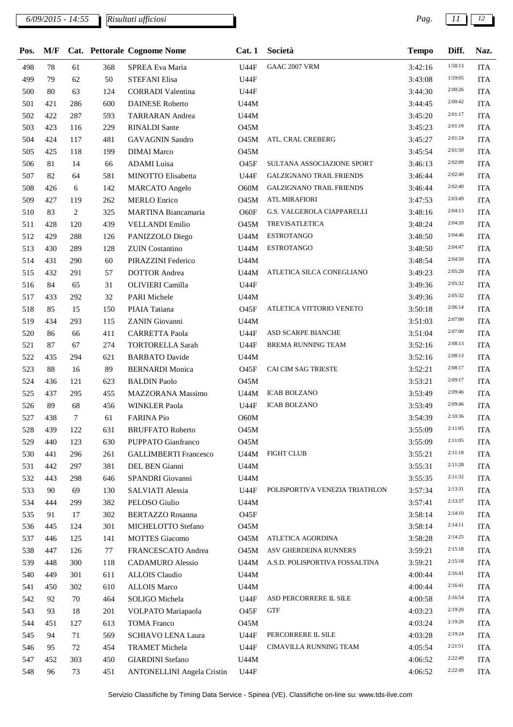| Pos. | M/F |        |     | Cat. Pettorale Cognome Nome       | Cat.1       | Società                         | <b>Tempo</b> | Diff.   | Naz.       |
|------|-----|--------|-----|-----------------------------------|-------------|---------------------------------|--------------|---------|------------|
| 498  | 78  | 61     | 368 | SPREA Eva Maria                   | U44F        | <b>GAAC 2007 VRM</b>            | 3:42:16      | 1:58:13 | <b>ITA</b> |
| 499  | 79  | 62     | 50  | <b>STEFANI Elisa</b>              | U44F        |                                 | 3:43:08      | 1:59:05 | <b>ITA</b> |
| 500  | 80  | 63     | 124 | <b>CORRADI</b> Valentina          | U44F        |                                 | 3:44:30      | 2:00:26 | <b>ITA</b> |
| 501  | 421 | 286    | 600 | <b>DAINESE Roberto</b>            | U44M        |                                 | 3:44:45      | 2:00:42 | <b>ITA</b> |
| 502  | 422 | 287    | 593 | <b>TARRARAN</b> Andrea            | U44M        |                                 | 3:45:20      | 2:01:17 | <b>ITA</b> |
| 503  | 423 | 116    | 229 | <b>RINALDI</b> Sante              | O45M        |                                 | 3:45:23      | 2:01:19 | <b>ITA</b> |
| 504  | 424 | 117    | 481 | <b>GAVAGNIN Sandro</b>            | <b>O45M</b> | ATL. CRAL CREBERG               | 3:45:27      | 2:01:24 | <b>ITA</b> |
| 505  | 425 | 118    | 199 | <b>DIMAI</b> Marco                | <b>O45M</b> |                                 | 3:45:54      | 2:01:50 | <b>ITA</b> |
| 506  | 81  | 14     | 66  | <b>ADAMI</b> Luisa                | O45F        | SULTANA ASSOCIAZIONE SPORT      | 3:46:13      | 2:02:09 | <b>ITA</b> |
| 507  | 82  | 64     | 581 | MINOTTO Elisabetta                | <b>U44F</b> | <b>GALZIGNANO TRAIL FRIENDS</b> | 3:46:44      | 2:02:40 | <b>ITA</b> |
| 508  | 426 | 6      | 142 | <b>MARCATO</b> Angelo             | O60M        | <b>GALZIGNANO TRAIL FRIENDS</b> | 3:46:44      | 2:02:40 | <b>ITA</b> |
| 509  | 427 | 119    | 262 | <b>MERLO</b> Enrico               | <b>O45M</b> | ATL.MIRAFIORI                   | 3:47:53      | 2:03:49 | <b>ITA</b> |
| 510  | 83  | 2      | 325 | MARTINA Biancamaria               | O60F        | G.S. VALGEROLA CIAPPARELLI      | 3:48:16      | 2:04:13 | <b>ITA</b> |
| 511  | 428 | 120    | 439 | <b>VELLANDI Emilio</b>            | <b>O45M</b> | <b>TREVISATLETICA</b>           | 3:48:24      | 2:04:20 | <b>ITA</b> |
| 512  | 429 | 288    | 126 | PANIZZOLO Diego                   | U44M        | <b>ESTROTANGO</b>               | 3:48:50      | 2:04:46 | <b>ITA</b> |
| 513  | 430 | 289    | 128 | <b>ZUIN</b> Costantino            | U44M        | <b>ESTROTANGO</b>               | 3:48:50      | 2:04:47 | <b>ITA</b> |
| 514  | 431 | 290    | 60  | PIRAZZINI Federico                | U44M        |                                 | 3:48:54      | 2:04:50 | <b>ITA</b> |
| 515  | 432 | 291    | 57  | <b>DOTTOR</b> Andrea              | U44M        | ATLETICA SILCA CONEGLIANO       | 3:49:23      | 2:05:20 | <b>ITA</b> |
| 516  | 84  | 65     | 31  | OLIVIERI Camilla                  | <b>U44F</b> |                                 | 3:49:36      | 2:05:32 | <b>ITA</b> |
| 517  | 433 | 292    | 32  | <b>PARI Michele</b>               | U44M        |                                 | 3:49:36      | 2:05:32 | <b>ITA</b> |
| 518  | 85  | 15     | 150 | PIAIA Tatiana                     | O45F        | ATLETICA VITTORIO VENETO        | 3:50:18      | 2:06:14 | <b>ITA</b> |
| 519  | 434 | 293    |     | ZANIN Giovanni                    | <b>U44M</b> |                                 |              | 2:07:00 | <b>ITA</b> |
|      |     |        | 115 |                                   |             |                                 | 3:51:03      | 2:07:00 |            |
| 520  | 86  | 66     | 411 | <b>CARRETTA Paola</b>             | U44F        | ASD SCARPE BIANCHE              | 3:51:04      | 2:08:13 | <b>ITA</b> |
| 521  | 87  | 67     | 274 | <b>TORTORELLA Sarah</b>           | <b>U44F</b> | BREMA RUNNING TEAM              | 3:52:16      | 2:08:13 | <b>ITA</b> |
| 522  | 435 | 294    | 621 | <b>BARBATO</b> Davide             | <b>U44M</b> |                                 | 3:52:16      | 2:08:17 | <b>ITA</b> |
| 523  | 88  | 16     | 89  | <b>BERNARDI</b> Monica            | O45F        | CAI CIM SAG TRIESTE             | 3:52:21      | 2:09:17 | <b>ITA</b> |
| 524  | 436 | 121    | 623 | <b>BALDIN Paolo</b>               | O45M        |                                 | 3:53:21      |         | <b>ITA</b> |
| 525  | 437 | 295    | 455 | MAZZORANA Massimo                 | <b>U44M</b> | <b>ICAB BOLZANO</b>             | 3:53:49      | 2:09:46 | <b>ITA</b> |
| 526  | 89  | 68     | 456 | <b>WINKLER Paola</b>              | <b>U44F</b> | <b>ICAB BOLZANO</b>             | 3:53:49      | 2:09:46 | <b>ITA</b> |
| 527  | 438 | $\tau$ | 61  | <b>FARINA Pio</b>                 | O60M        |                                 | 3:54:39      | 2:10:36 | <b>ITA</b> |
| 528  | 439 | 122    | 631 | <b>BRUFFATO Roberto</b>           | 045M        |                                 | 3:55:09      | 2:11:05 | <b>ITA</b> |
| 529  | 440 | 123    | 630 | PUPPATO Gianfranco                | <b>O45M</b> |                                 | 3:55:09      | 2:11:05 | <b>ITA</b> |
| 530  | 441 | 296    | 261 | <b>GALLIMBERTI Francesco</b>      | U44M        | <b>FIGHT CLUB</b>               | 3:55:21      | 2:11:18 | <b>ITA</b> |
| 531  | 442 | 297    | 381 | DEL BEN Gianni                    | U44M        |                                 | 3:55:31      | 2:11:28 | <b>ITA</b> |
| 532  | 443 | 298    | 646 | SPANDRI Giovanni                  | U44M        |                                 | 3:55:35      | 2:11:32 | <b>ITA</b> |
| 533  | 90  | 69     | 130 | SALVIATI Alessia                  | <b>U44F</b> | POLISPORTIVA VENEZIA TRIATHLON  | 3:57:34      | 2:13:31 | <b>ITA</b> |
| 534  | 444 | 299    | 382 | PELOSO Giulio                     | U44M        |                                 | 3:57:41      | 2:13:37 | <b>ITA</b> |
| 535  | 91  | 17     | 302 | <b>BERTAZZO Rosanna</b>           | O45F        |                                 | 3:58:14      | 2:14:10 | <b>ITA</b> |
| 536  | 445 | 124    | 301 | MICHELOTTO Stefano                | <b>O45M</b> |                                 | 3:58:14      | 2:14:11 | <b>ITA</b> |
| 537  | 446 | 125    | 141 | <b>MOTTES Giacomo</b>             | <b>O45M</b> | ATLETICA AGORDINA               | 3:58:28      | 2:14:25 | <b>ITA</b> |
| 538  | 447 | 126    | 77  | FRANCESCATO Andrea                | 045M        | ASV GHERDEINA RUNNERS           | 3:59:21      | 2:15:18 | <b>ITA</b> |
| 539  | 448 | 300    | 118 | <b>CADAMURO</b> Alessio           | U44M        | A.S.D. POLISPORTIVA FOSSALTINA  | 3:59:21      | 2:15:18 | <b>ITA</b> |
| 540  | 449 | 301    | 611 | <b>ALLOIS Claudio</b>             | U44M        |                                 | 4:00:44      | 2:16:41 | <b>ITA</b> |
| 541  | 450 | 302    | 610 | <b>ALLOIS Marco</b>               | U44M        |                                 | 4:00:44      | 2:16:41 | <b>ITA</b> |
| 542  | 92  | 70     | 464 | SOLIGO Michela                    | U44F        | ASD PERCORRERE IL SILE          | 4:00:58      | 2:16:54 | <b>ITA</b> |
| 543  | 93  | 18     | 201 | VOLPATO Mariapaola                | O45F        | <b>GTF</b>                      | 4:03:23      | 2:19:20 | <b>ITA</b> |
| 544  | 451 | 127    | 613 | <b>TOMA Franco</b>                | <b>O45M</b> |                                 | 4:03:24      | 2:19:20 | <b>ITA</b> |
| 545  | 94  | 71     | 569 | <b>SCHIAVO LENA Laura</b>         | U44F        | PERCORRERE IL SILE              | 4:03:28      | 2:19:24 | <b>ITA</b> |
| 546  | 95  | 72     | 454 | <b>TRAMET Michela</b>             | <b>U44F</b> | CIMAVILLA RUNNING TEAM          | 4:05:54      | 2:21:51 | <b>ITA</b> |
| 547  | 452 | 303    | 450 | <b>GIARDINI</b> Stefano           | U44M        |                                 | 4:06:52      | 2:22:49 | <b>ITA</b> |
| 548  | 96  | 73     | 451 | <b>ANTONELLINI Angela Cristin</b> | U44F        |                                 | 4:06:52      | 2:22:49 | <b>ITA</b> |